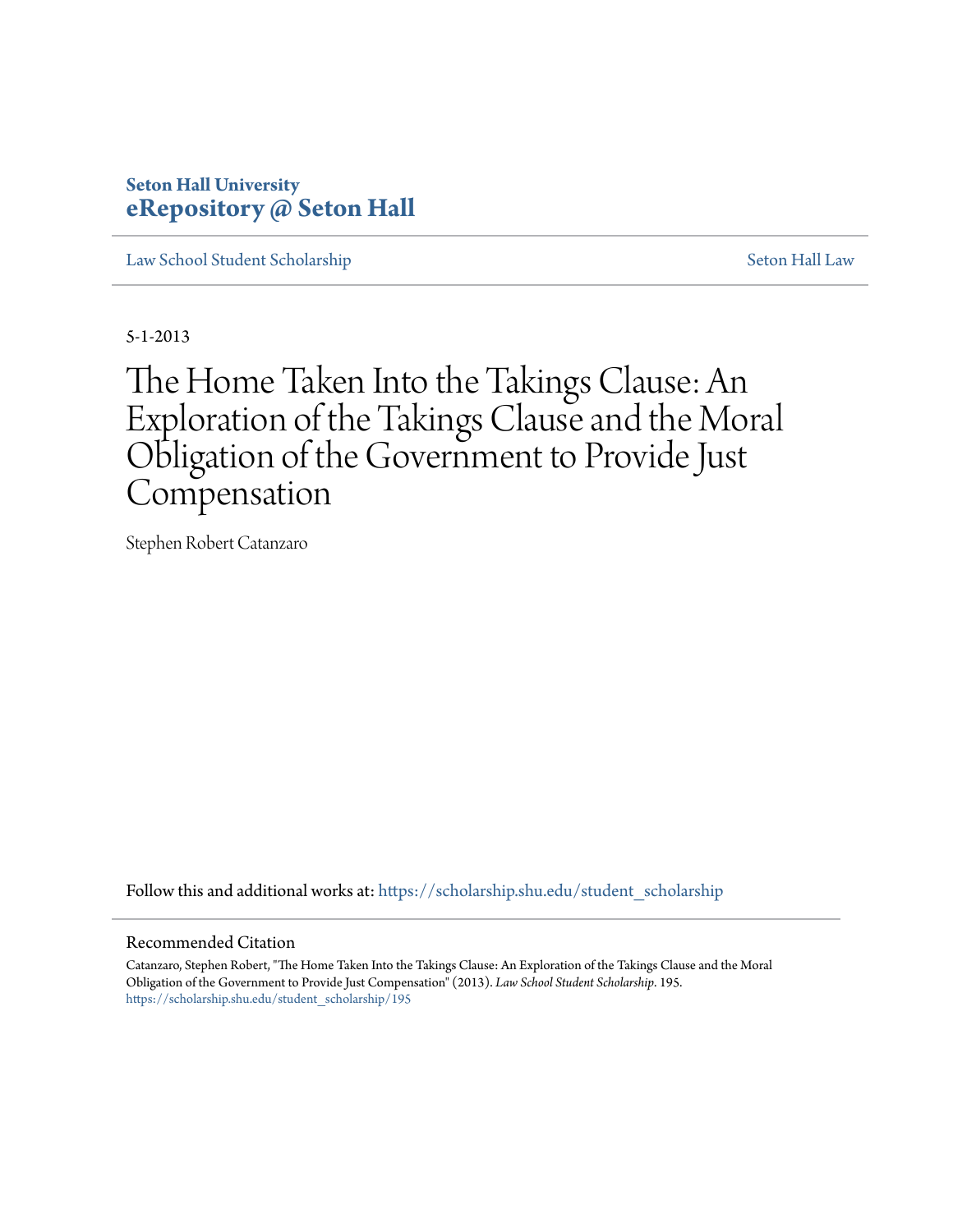# **Seton Hall University [eRepository @ Seton Hall](https://scholarship.shu.edu?utm_source=scholarship.shu.edu%2Fstudent_scholarship%2F195&utm_medium=PDF&utm_campaign=PDFCoverPages)**

[Law School Student Scholarship](https://scholarship.shu.edu/student_scholarship?utm_source=scholarship.shu.edu%2Fstudent_scholarship%2F195&utm_medium=PDF&utm_campaign=PDFCoverPages) [Seton Hall Law](https://scholarship.shu.edu/law?utm_source=scholarship.shu.edu%2Fstudent_scholarship%2F195&utm_medium=PDF&utm_campaign=PDFCoverPages)

5-1-2013

# The Home Taken Into the Takings Clause: An Exploration of the Takings Clause and the Moral Obligation of the Government to Provide Just Compensation

Stephen Robert Catanzaro

Follow this and additional works at: [https://scholarship.shu.edu/student\\_scholarship](https://scholarship.shu.edu/student_scholarship?utm_source=scholarship.shu.edu%2Fstudent_scholarship%2F195&utm_medium=PDF&utm_campaign=PDFCoverPages)

#### Recommended Citation

Catanzaro, Stephen Robert, "The Home Taken Into the Takings Clause: An Exploration of the Takings Clause and the Moral Obligation of the Government to Provide Just Compensation" (2013). *Law School Student Scholarship*. 195. [https://scholarship.shu.edu/student\\_scholarship/195](https://scholarship.shu.edu/student_scholarship/195?utm_source=scholarship.shu.edu%2Fstudent_scholarship%2F195&utm_medium=PDF&utm_campaign=PDFCoverPages)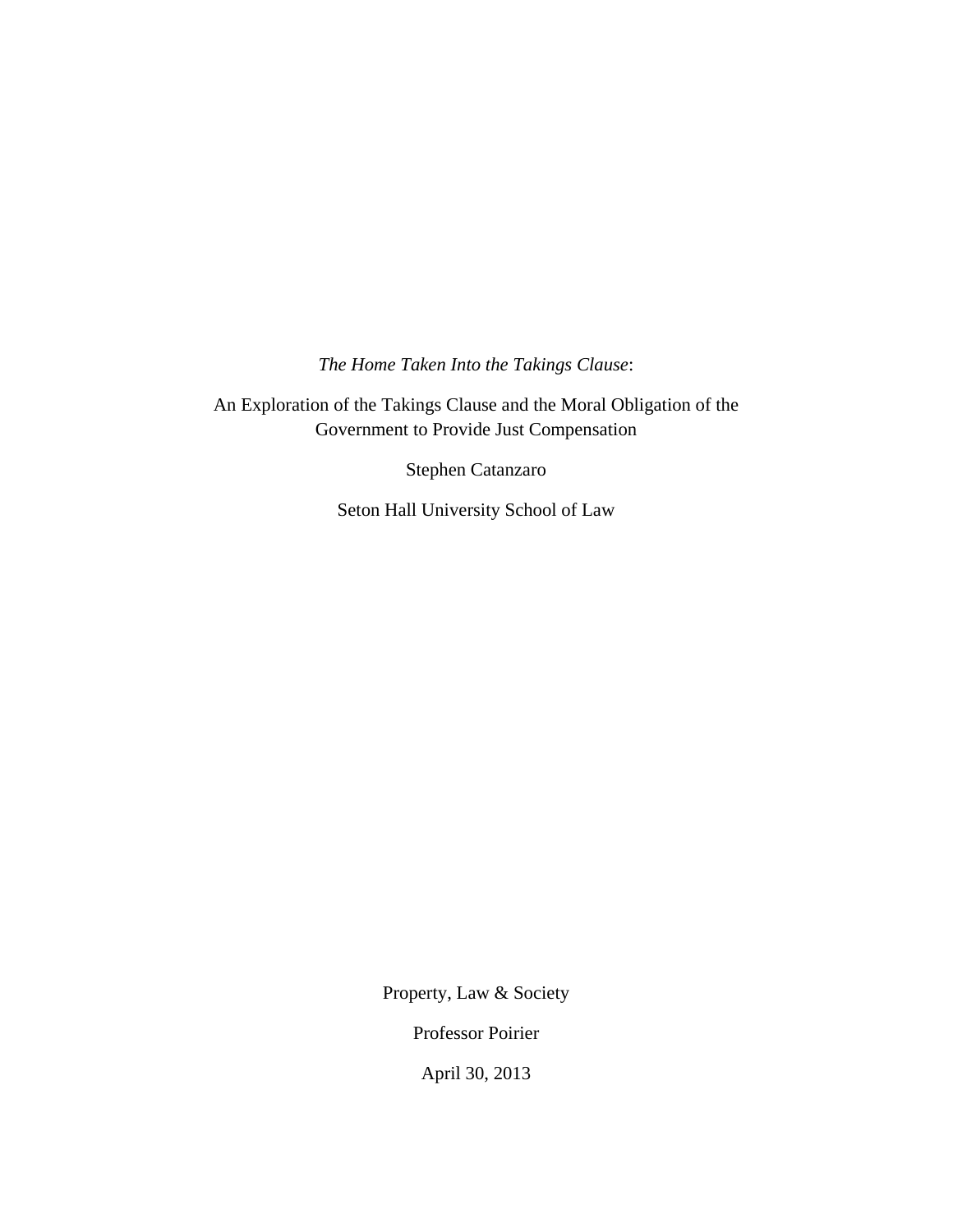*The Home Taken Into the Takings Clause*:

An Exploration of the Takings Clause and the Moral Obligation of the Government to Provide Just Compensation

Stephen Catanzaro

Seton Hall University School of Law

Property, Law & Society

Professor Poirier

April 30, 2013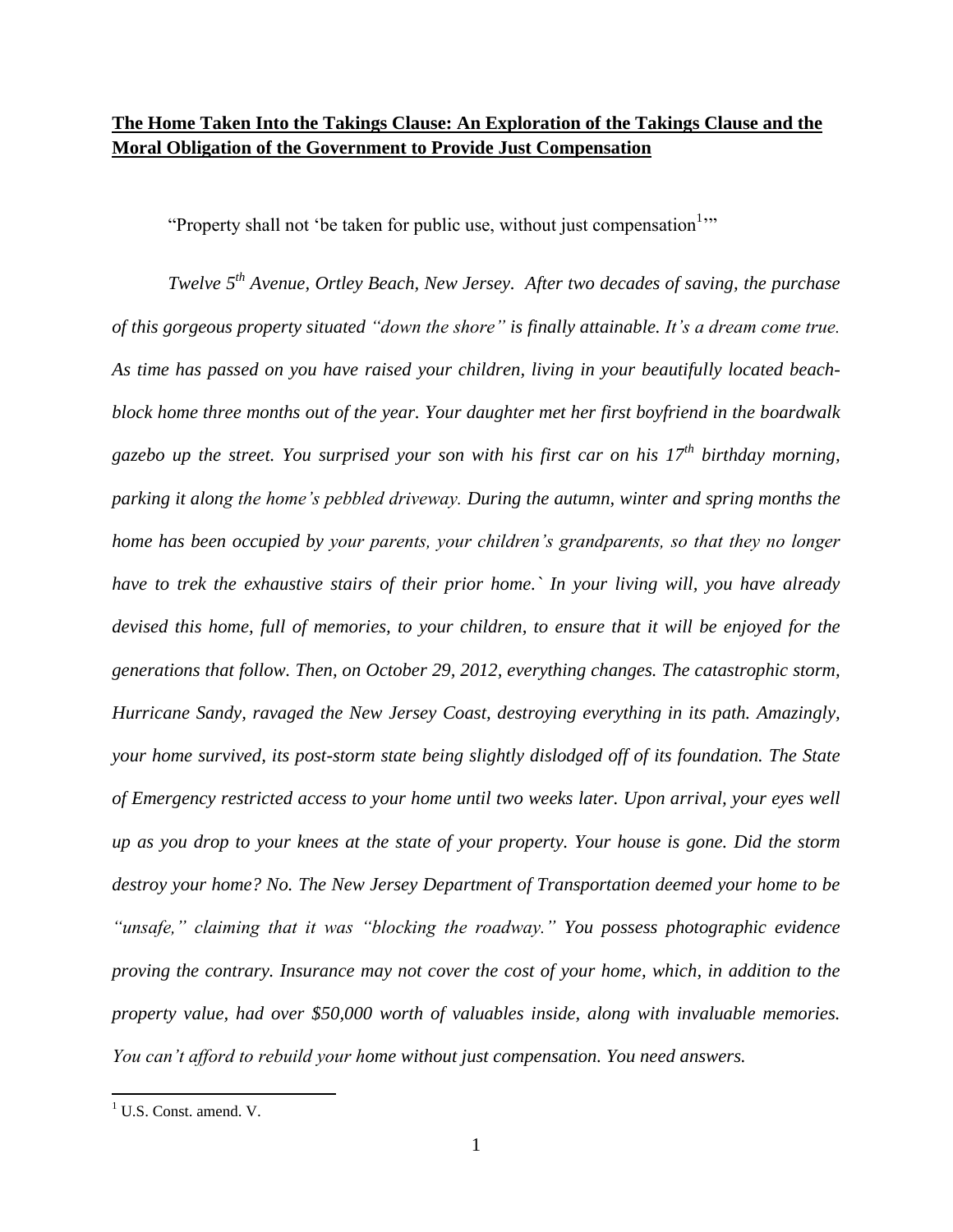# **The Home Taken Into the Takings Clause: An Exploration of the Takings Clause and the Moral Obligation of the Government to Provide Just Compensation**

"Property shall not 'be taken for public use, without just compensation<sup>1</sup>"

*Twelve 5 th Avenue, Ortley Beach, New Jersey. After two decades of saving, the purchase of this gorgeous property situated "down the shore" is finally attainable. It's a dream come true. As time has passed on you have raised your children, living in your beautifully located beachblock home three months out of the year. Your daughter met her first boyfriend in the boardwalk gazebo up the street. You surprised your son with his first car on his 17th birthday morning, parking it along the home's pebbled driveway. During the autumn, winter and spring months the home has been occupied by your parents, your children's grandparents, so that they no longer have to trek the exhaustive stairs of their prior home.` In your living will, you have already devised this home, full of memories, to your children, to ensure that it will be enjoyed for the generations that follow. Then, on October 29, 2012, everything changes. The catastrophic storm, Hurricane Sandy, ravaged the New Jersey Coast, destroying everything in its path. Amazingly, your home survived, its post-storm state being slightly dislodged off of its foundation. The State of Emergency restricted access to your home until two weeks later. Upon arrival, your eyes well up as you drop to your knees at the state of your property. Your house is gone. Did the storm destroy your home? No. The New Jersey Department of Transportation deemed your home to be "unsafe," claiming that it was "blocking the roadway." You possess photographic evidence proving the contrary. Insurance may not cover the cost of your home, which, in addition to the property value, had over \$50,000 worth of valuables inside, along with invaluable memories. You can't afford to rebuild your home without just compensation. You need answers.*

<sup>&</sup>lt;sup>1</sup> U.S. Const. amend. V.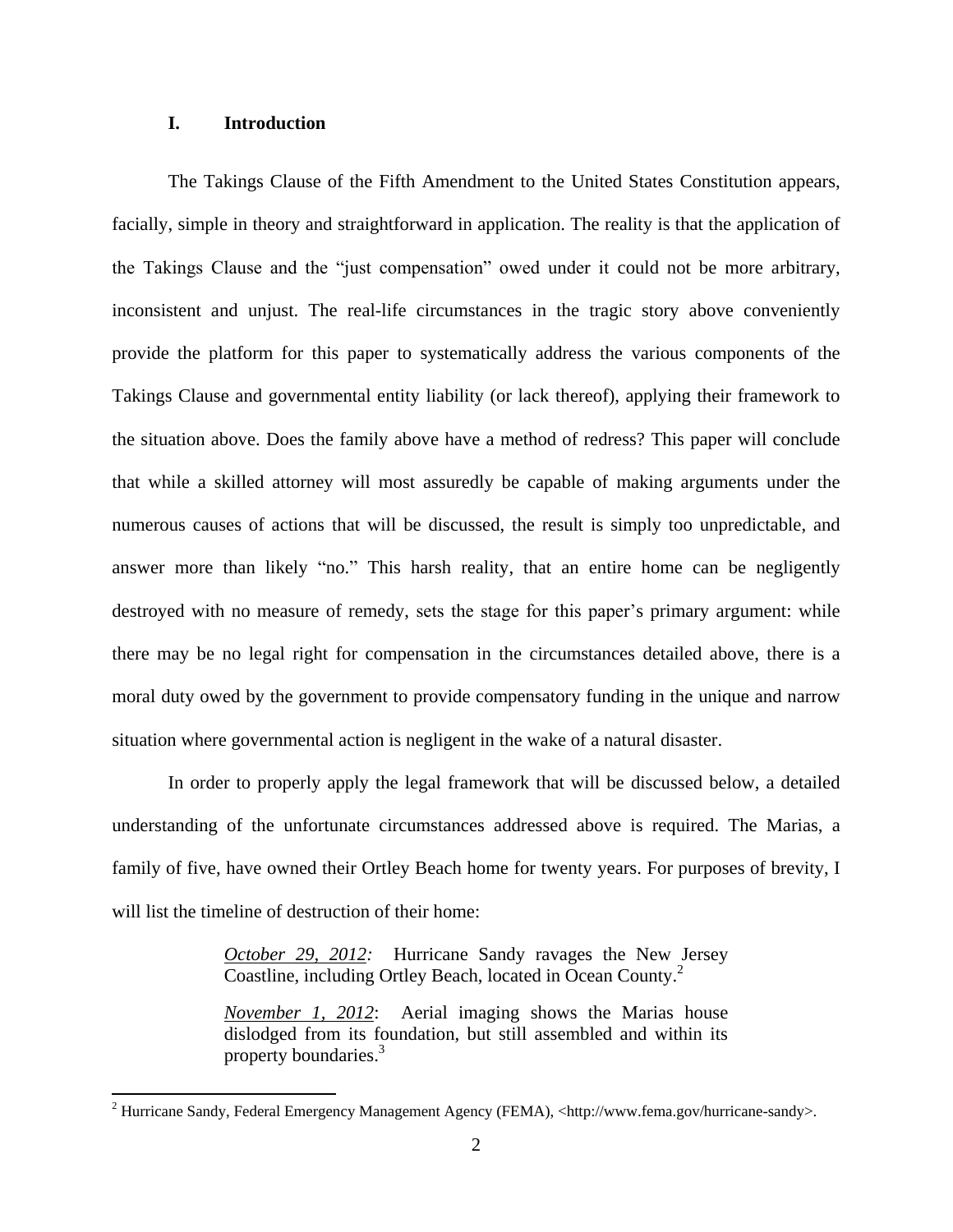# **I. Introduction**

 $\overline{\phantom{a}}$ 

The Takings Clause of the Fifth Amendment to the United States Constitution appears, facially, simple in theory and straightforward in application. The reality is that the application of the Takings Clause and the "just compensation" owed under it could not be more arbitrary, inconsistent and unjust. The real-life circumstances in the tragic story above conveniently provide the platform for this paper to systematically address the various components of the Takings Clause and governmental entity liability (or lack thereof), applying their framework to the situation above. Does the family above have a method of redress? This paper will conclude that while a skilled attorney will most assuredly be capable of making arguments under the numerous causes of actions that will be discussed, the result is simply too unpredictable, and answer more than likely "no." This harsh reality, that an entire home can be negligently destroyed with no measure of remedy, sets the stage for this paper's primary argument: while there may be no legal right for compensation in the circumstances detailed above, there is a moral duty owed by the government to provide compensatory funding in the unique and narrow situation where governmental action is negligent in the wake of a natural disaster.

In order to properly apply the legal framework that will be discussed below, a detailed understanding of the unfortunate circumstances addressed above is required. The Marias, a family of five, have owned their Ortley Beach home for twenty years. For purposes of brevity, I will list the timeline of destruction of their home:

> *October 29, 2012:* Hurricane Sandy ravages the New Jersey Coastline, including Ortley Beach, located in Ocean County.<sup>2</sup>

> *November 1, 2012*: Aerial imaging shows the Marias house dislodged from its foundation, but still assembled and within its property boundaries.<sup>3</sup>

<sup>&</sup>lt;sup>2</sup> Hurricane Sandy, Federal Emergency Management Agency (FEMA), <http://www.fema.gov/hurricane-sandy>.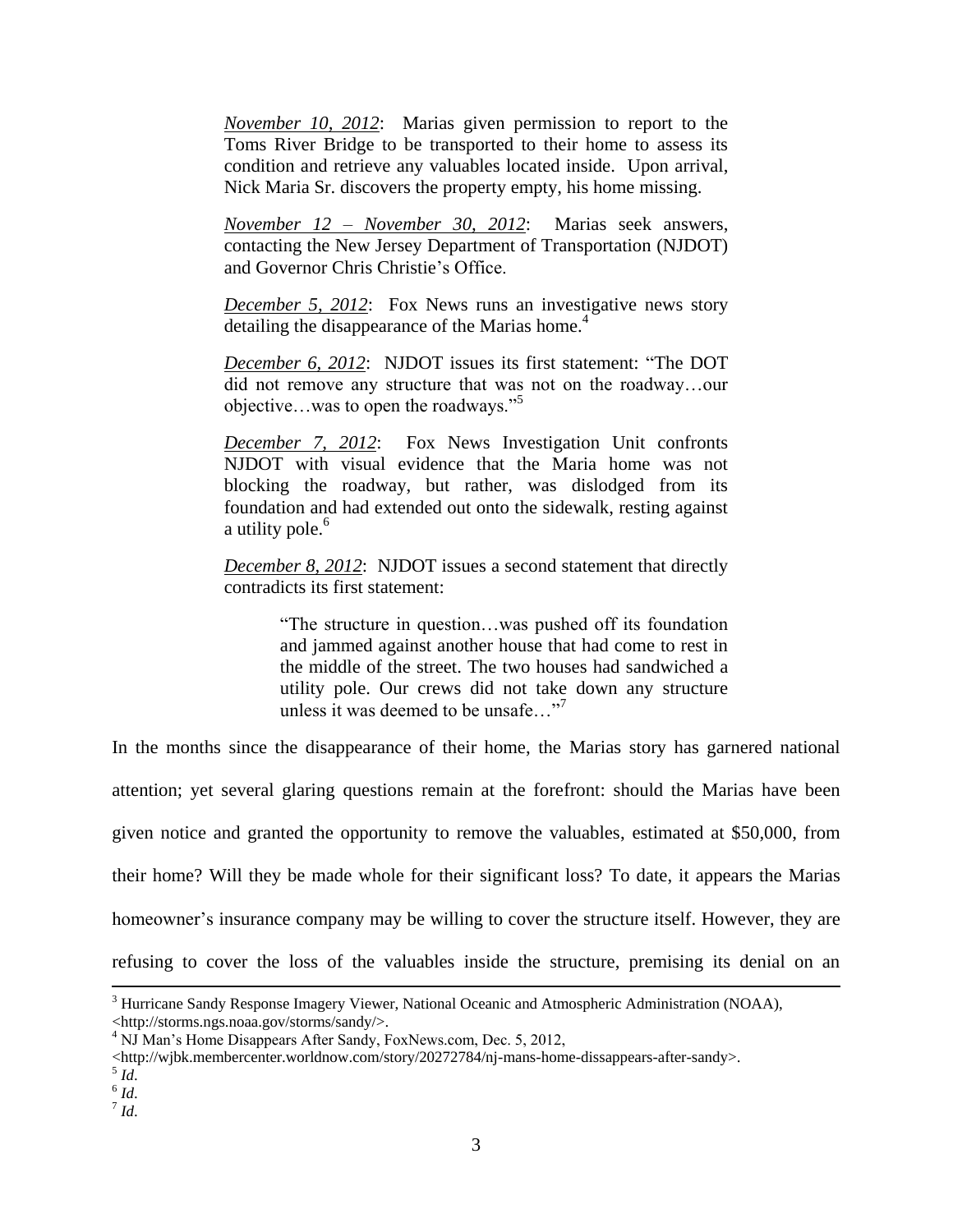*November 10, 2012*: Marias given permission to report to the Toms River Bridge to be transported to their home to assess its condition and retrieve any valuables located inside. Upon arrival, Nick Maria Sr. discovers the property empty, his home missing.

*November 12 – November 30, 2012*: Marias seek answers, contacting the New Jersey Department of Transportation (NJDOT) and Governor Chris Christie's Office.

*December 5, 2012*: Fox News runs an investigative news story detailing the disappearance of the Marias home.<sup>4</sup>

*December 6, 2012*: NJDOT issues its first statement: "The DOT did not remove any structure that was not on the roadway…our objective…was to open the roadways."<sup>5</sup>

*December 7, 2012*: Fox News Investigation Unit confronts NJDOT with visual evidence that the Maria home was not blocking the roadway, but rather, was dislodged from its foundation and had extended out onto the sidewalk, resting against a utility pole.<sup>6</sup>

*December 8, 2012*: NJDOT issues a second statement that directly contradicts its first statement:

> "The structure in question…was pushed off its foundation and jammed against another house that had come to rest in the middle of the street. The two houses had sandwiched a utility pole. Our crews did not take down any structure unless it was deemed to be unsafe..."<sup>7</sup>

In the months since the disappearance of their home, the Marias story has garnered national attention; yet several glaring questions remain at the forefront: should the Marias have been given notice and granted the opportunity to remove the valuables, estimated at \$50,000, from their home? Will they be made whole for their significant loss? To date, it appears the Marias homeowner's insurance company may be willing to cover the structure itself. However, they are refusing to cover the loss of the valuables inside the structure, premising its denial on an

 $\overline{\phantom{a}}$ 

7 *Id*.

<sup>3</sup> Hurricane Sandy Response Imagery Viewer, National Oceanic and Atmospheric Administration (NOAA), <http://storms.ngs.noaa.gov/storms/sandy/>.

<sup>4</sup> NJ Man's Home Disappears After Sandy, FoxNews.com, Dec. 5, 2012,

Anttp://wjbk.membercenter.worldnow.com/story/20272784/nj-mans-home-dissappears-after-sandy>.<br>
<sup>5</sup> Id.

<sup>6</sup> *Id*.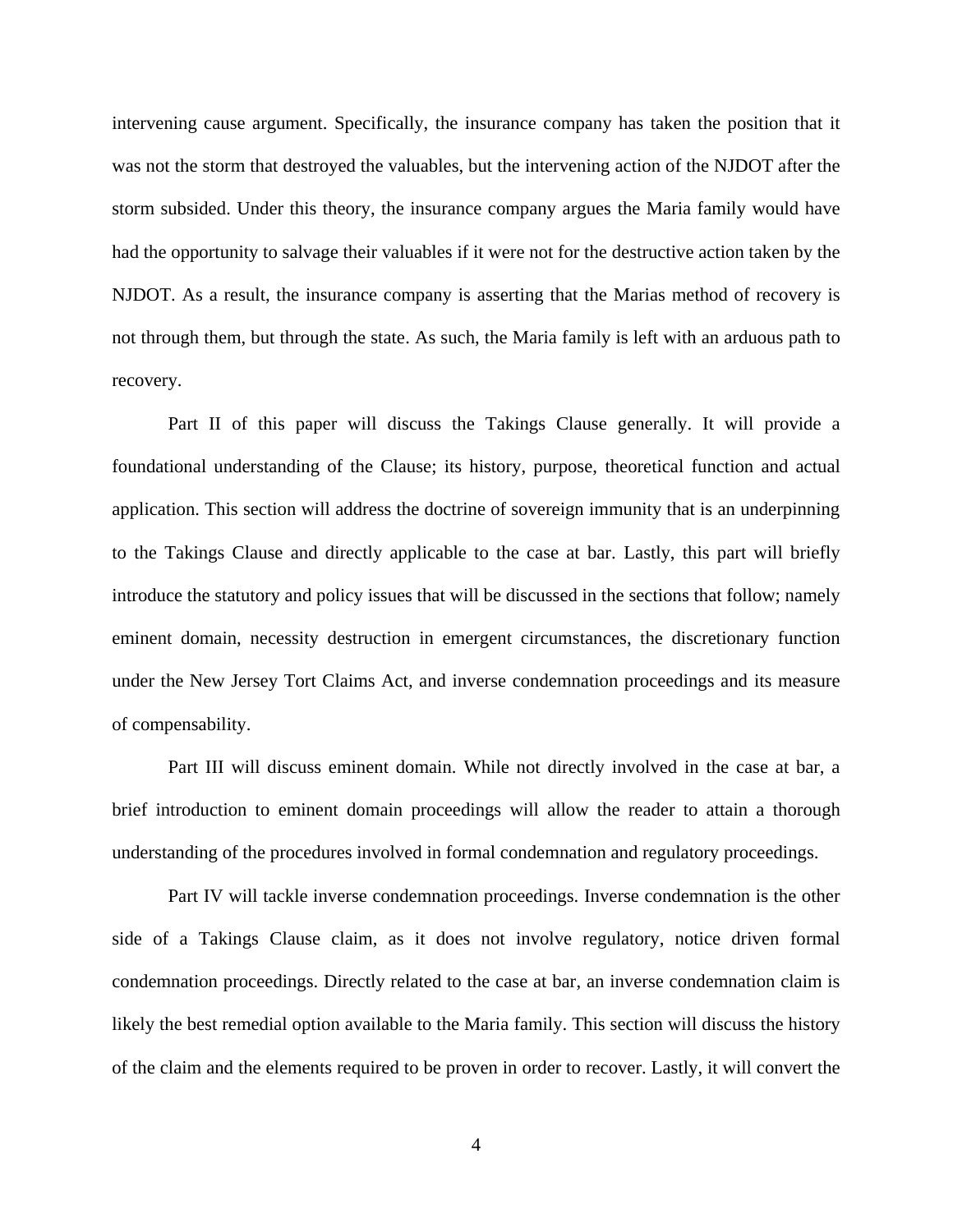intervening cause argument. Specifically, the insurance company has taken the position that it was not the storm that destroyed the valuables, but the intervening action of the NJDOT after the storm subsided. Under this theory, the insurance company argues the Maria family would have had the opportunity to salvage their valuables if it were not for the destructive action taken by the NJDOT. As a result, the insurance company is asserting that the Marias method of recovery is not through them, but through the state. As such, the Maria family is left with an arduous path to recovery.

Part II of this paper will discuss the Takings Clause generally. It will provide a foundational understanding of the Clause; its history, purpose, theoretical function and actual application. This section will address the doctrine of sovereign immunity that is an underpinning to the Takings Clause and directly applicable to the case at bar. Lastly, this part will briefly introduce the statutory and policy issues that will be discussed in the sections that follow; namely eminent domain, necessity destruction in emergent circumstances, the discretionary function under the New Jersey Tort Claims Act, and inverse condemnation proceedings and its measure of compensability.

Part III will discuss eminent domain. While not directly involved in the case at bar, a brief introduction to eminent domain proceedings will allow the reader to attain a thorough understanding of the procedures involved in formal condemnation and regulatory proceedings.

Part IV will tackle inverse condemnation proceedings. Inverse condemnation is the other side of a Takings Clause claim, as it does not involve regulatory, notice driven formal condemnation proceedings. Directly related to the case at bar, an inverse condemnation claim is likely the best remedial option available to the Maria family. This section will discuss the history of the claim and the elements required to be proven in order to recover. Lastly, it will convert the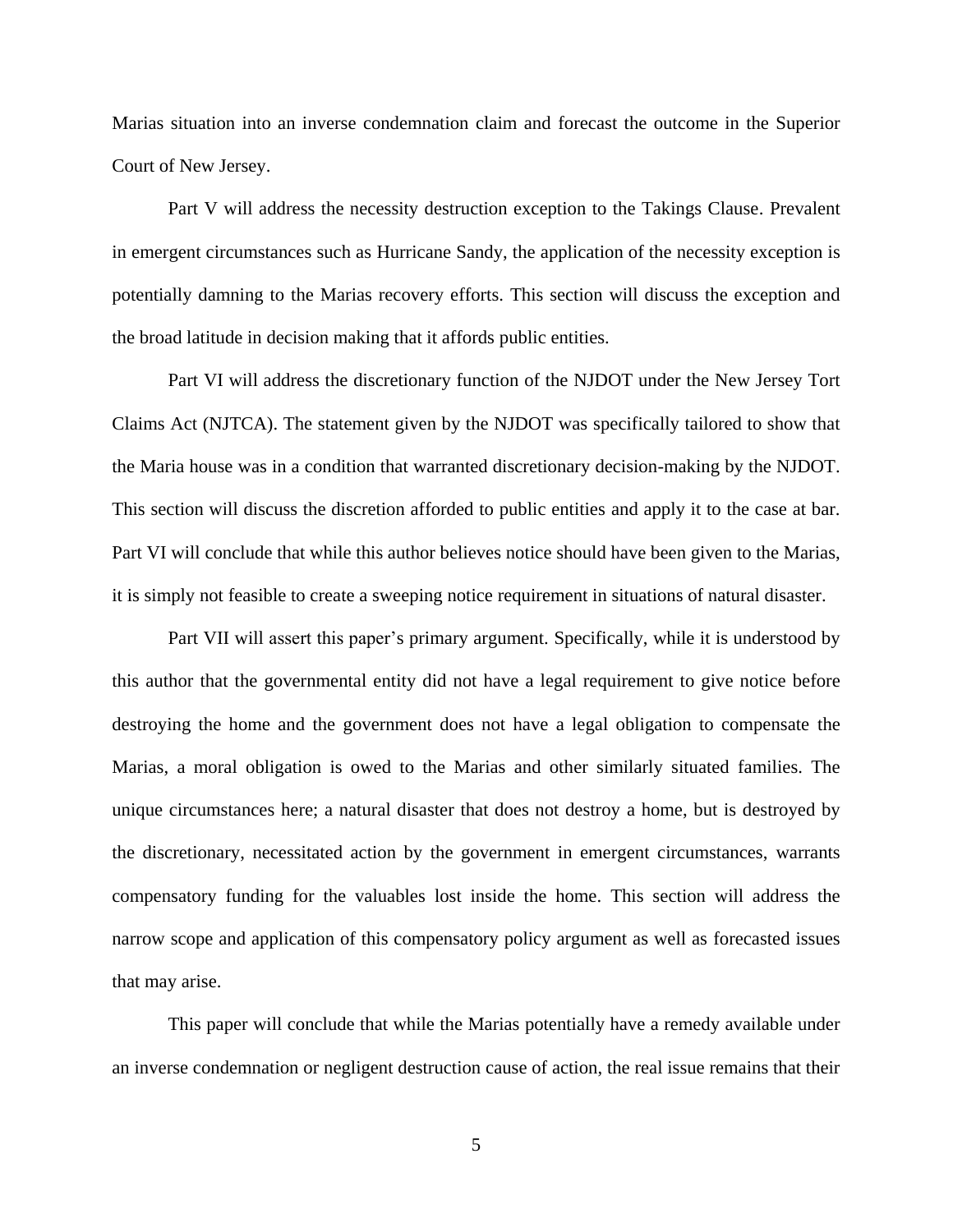Marias situation into an inverse condemnation claim and forecast the outcome in the Superior Court of New Jersey.

Part V will address the necessity destruction exception to the Takings Clause. Prevalent in emergent circumstances such as Hurricane Sandy, the application of the necessity exception is potentially damning to the Marias recovery efforts. This section will discuss the exception and the broad latitude in decision making that it affords public entities.

Part VI will address the discretionary function of the NJDOT under the New Jersey Tort Claims Act (NJTCA). The statement given by the NJDOT was specifically tailored to show that the Maria house was in a condition that warranted discretionary decision-making by the NJDOT. This section will discuss the discretion afforded to public entities and apply it to the case at bar. Part VI will conclude that while this author believes notice should have been given to the Marias, it is simply not feasible to create a sweeping notice requirement in situations of natural disaster.

Part VII will assert this paper's primary argument. Specifically, while it is understood by this author that the governmental entity did not have a legal requirement to give notice before destroying the home and the government does not have a legal obligation to compensate the Marias, a moral obligation is owed to the Marias and other similarly situated families. The unique circumstances here; a natural disaster that does not destroy a home, but is destroyed by the discretionary, necessitated action by the government in emergent circumstances, warrants compensatory funding for the valuables lost inside the home. This section will address the narrow scope and application of this compensatory policy argument as well as forecasted issues that may arise.

This paper will conclude that while the Marias potentially have a remedy available under an inverse condemnation or negligent destruction cause of action, the real issue remains that their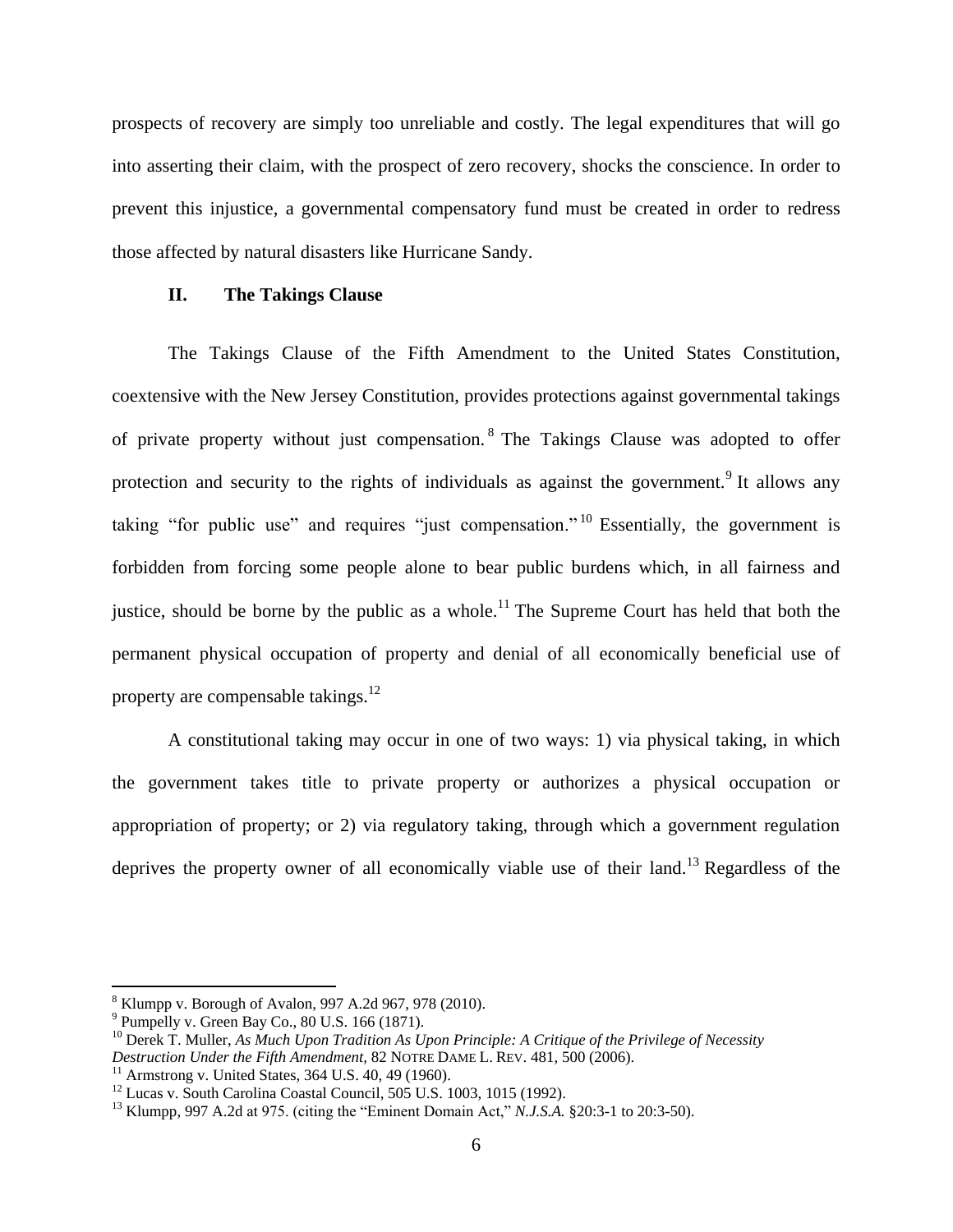prospects of recovery are simply too unreliable and costly. The legal expenditures that will go into asserting their claim, with the prospect of zero recovery, shocks the conscience. In order to prevent this injustice, a governmental compensatory fund must be created in order to redress those affected by natural disasters like Hurricane Sandy.

#### **II. The Takings Clause**

The Takings Clause of the Fifth Amendment to the United States Constitution, coextensive with the New Jersey Constitution, provides protections against governmental takings of private property without just compensation. <sup>8</sup> The Takings Clause was adopted to offer protection and security to the rights of individuals as against the government.<sup>9</sup> It allows any taking "for public use" and requires "just compensation." <sup>10</sup> Essentially, the government is forbidden from forcing some people alone to bear public burdens which, in all fairness and justice, should be borne by the public as a whole.<sup>11</sup> The Supreme Court has held that both the permanent physical occupation of property and denial of all economically beneficial use of property are compensable takings.<sup>12</sup>

A constitutional taking may occur in one of two ways: 1) via physical taking, in which the government takes title to private property or authorizes a physical occupation or appropriation of property; or 2) via regulatory taking, through which a government regulation deprives the property owner of all economically viable use of their land.<sup>13</sup> Regardless of the

<sup>8</sup> Klumpp v. Borough of Avalon, 997 A.2d 967, 978 (2010).

<sup>9</sup> Pumpelly v. Green Bay Co., 80 U.S. 166 (1871).

<sup>&</sup>lt;sup>10</sup> Derek T. Muller, *As Much Upon Tradition As Upon Principle: A Critique of the Privilege of Necessity Destruction Under the Fifth Amendment,* 82 NOTRE DAME L. REV. 481, 500 (2006).

<sup>&</sup>lt;sup>11</sup> Armstrong v. United States, 364 U.S.  $40, 49$  (1960).

 $12$  Lucas v. South Carolina Coastal Council, 505 U.S. 1003, 1015 (1992).

<sup>13</sup> Klumpp, 997 A.2d at 975. (citing the "Eminent Domain Act," *N.J.S.A.* §20:3-1 to 20:3-50).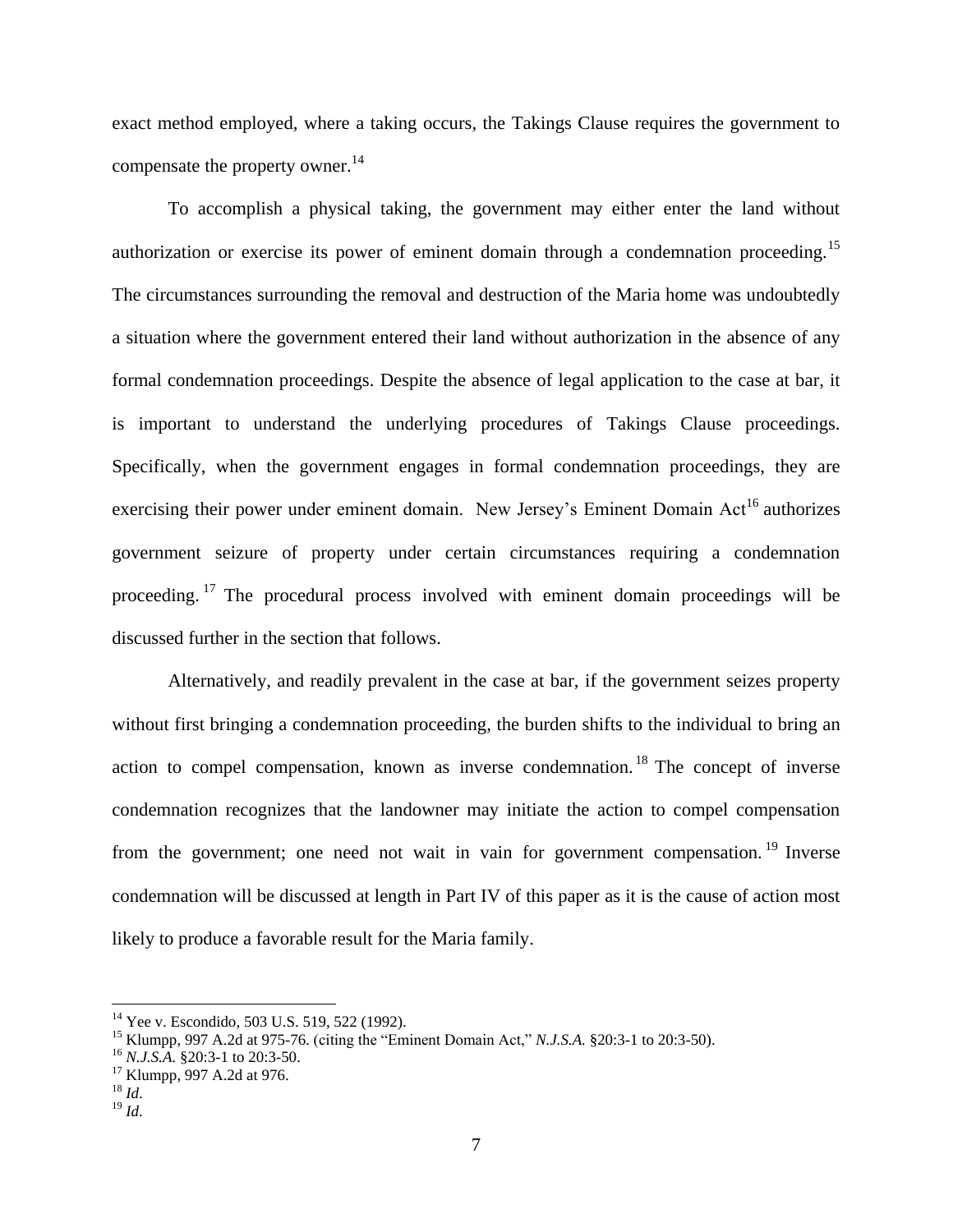exact method employed, where a taking occurs, the Takings Clause requires the government to compensate the property owner.<sup>14</sup>

To accomplish a physical taking, the government may either enter the land without authorization or exercise its power of eminent domain through a condemnation proceeding.<sup>15</sup> The circumstances surrounding the removal and destruction of the Maria home was undoubtedly a situation where the government entered their land without authorization in the absence of any formal condemnation proceedings. Despite the absence of legal application to the case at bar, it is important to understand the underlying procedures of Takings Clause proceedings. Specifically, when the government engages in formal condemnation proceedings, they are exercising their power under eminent domain. New Jersey's Eminent Domain Act<sup>16</sup> authorizes government seizure of property under certain circumstances requiring a condemnation proceeding. <sup>17</sup> The procedural process involved with eminent domain proceedings will be discussed further in the section that follows.

Alternatively, and readily prevalent in the case at bar, if the government seizes property without first bringing a condemnation proceeding, the burden shifts to the individual to bring an action to compel compensation, known as inverse condemnation. <sup>18</sup> The concept of inverse condemnation recognizes that the landowner may initiate the action to compel compensation from the government; one need not wait in vain for government compensation.<sup>19</sup> Inverse condemnation will be discussed at length in Part IV of this paper as it is the cause of action most likely to produce a favorable result for the Maria family.

<sup>&</sup>lt;sup>14</sup> Yee v. Escondido, 503 U.S. 519, 522 (1992).

<sup>15</sup> Klumpp, 997 A.2d at 975-76. (citing the "Eminent Domain Act," *N.J.S.A.* §20:3-1 to 20:3-50).

<sup>16</sup> *N.J.S.A.* §20:3-1 to 20:3-50.

<sup>&</sup>lt;sup>17</sup> Klumpp, 997 A.2d at 976.

 $^{18}$  *Id.* 

 $19 \,$ *Id.*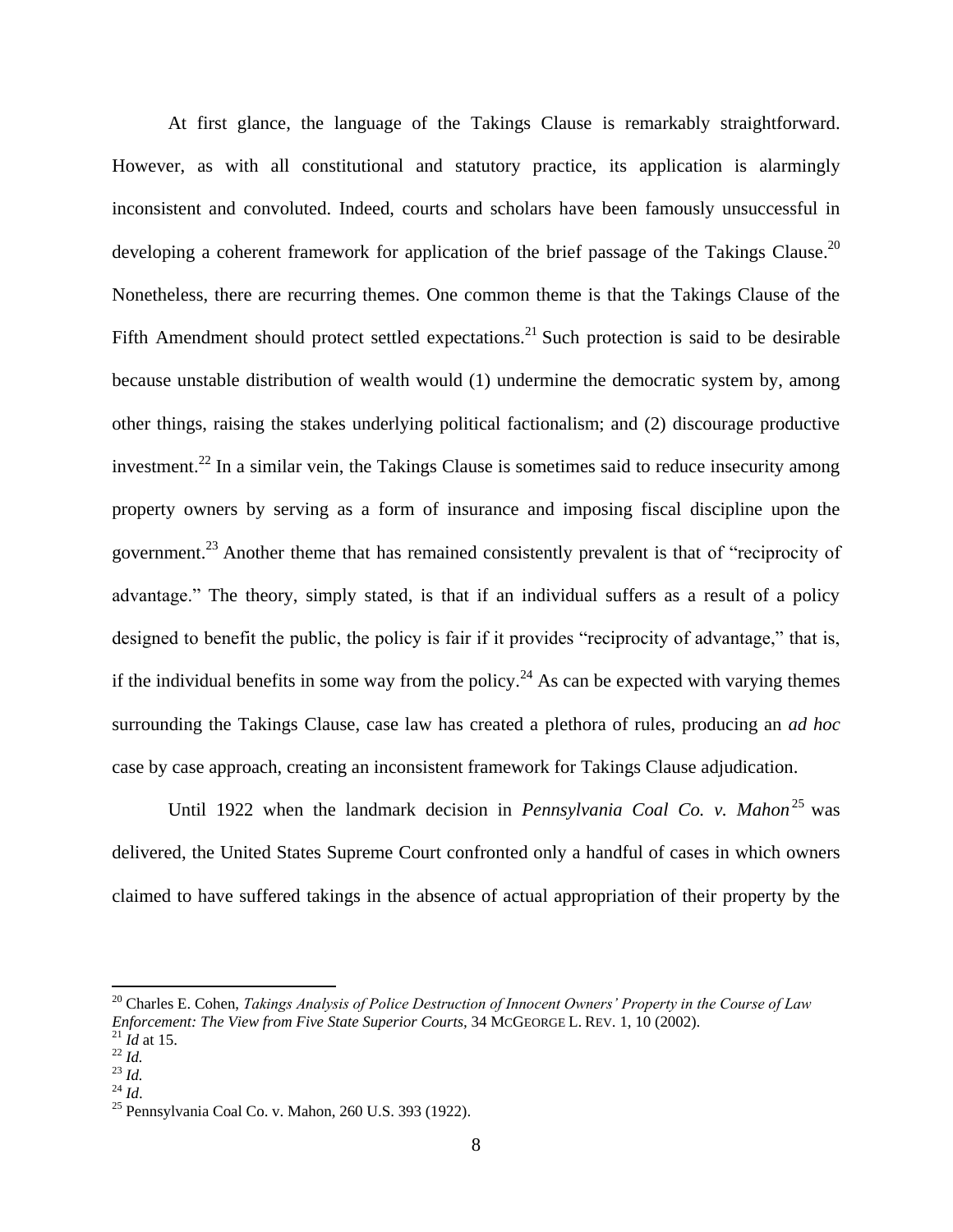At first glance, the language of the Takings Clause is remarkably straightforward. However, as with all constitutional and statutory practice, its application is alarmingly inconsistent and convoluted. Indeed, courts and scholars have been famously unsuccessful in developing a coherent framework for application of the brief passage of the Takings Clause.<sup>20</sup> Nonetheless, there are recurring themes. One common theme is that the Takings Clause of the Fifth Amendment should protect settled expectations.<sup>21</sup> Such protection is said to be desirable because unstable distribution of wealth would (1) undermine the democratic system by, among other things, raising the stakes underlying political factionalism; and (2) discourage productive investment.<sup>22</sup> In a similar vein, the Takings Clause is sometimes said to reduce insecurity among property owners by serving as a form of insurance and imposing fiscal discipline upon the government.<sup>23</sup> Another theme that has remained consistently prevalent is that of "reciprocity of advantage." The theory, simply stated, is that if an individual suffers as a result of a policy designed to benefit the public, the policy is fair if it provides "reciprocity of advantage," that is, if the individual benefits in some way from the policy.<sup>24</sup> As can be expected with varying themes surrounding the Takings Clause, case law has created a plethora of rules, producing an *ad hoc* case by case approach, creating an inconsistent framework for Takings Clause adjudication.

Until 1922 when the landmark decision in *Pennsylvania Coal Co. v. Mahon*<sup>25</sup> was delivered, the United States Supreme Court confronted only a handful of cases in which owners claimed to have suffered takings in the absence of actual appropriation of their property by the

<sup>20</sup> Charles E. Cohen, *Takings Analysis of Police Destruction of Innocent Owners' Property in the Course of Law Enforcement: The View from Five State Superior Courts,* 34 MCGEORGE L. REV. 1, 10 (2002).

 $^{21}$  *Id* at 15.

<sup>22</sup> *Id.*  $^{23}$  *Id.* 

<sup>24</sup> *Id*.

<sup>25</sup> Pennsylvania Coal Co. v. Mahon, 260 U.S. 393 (1922).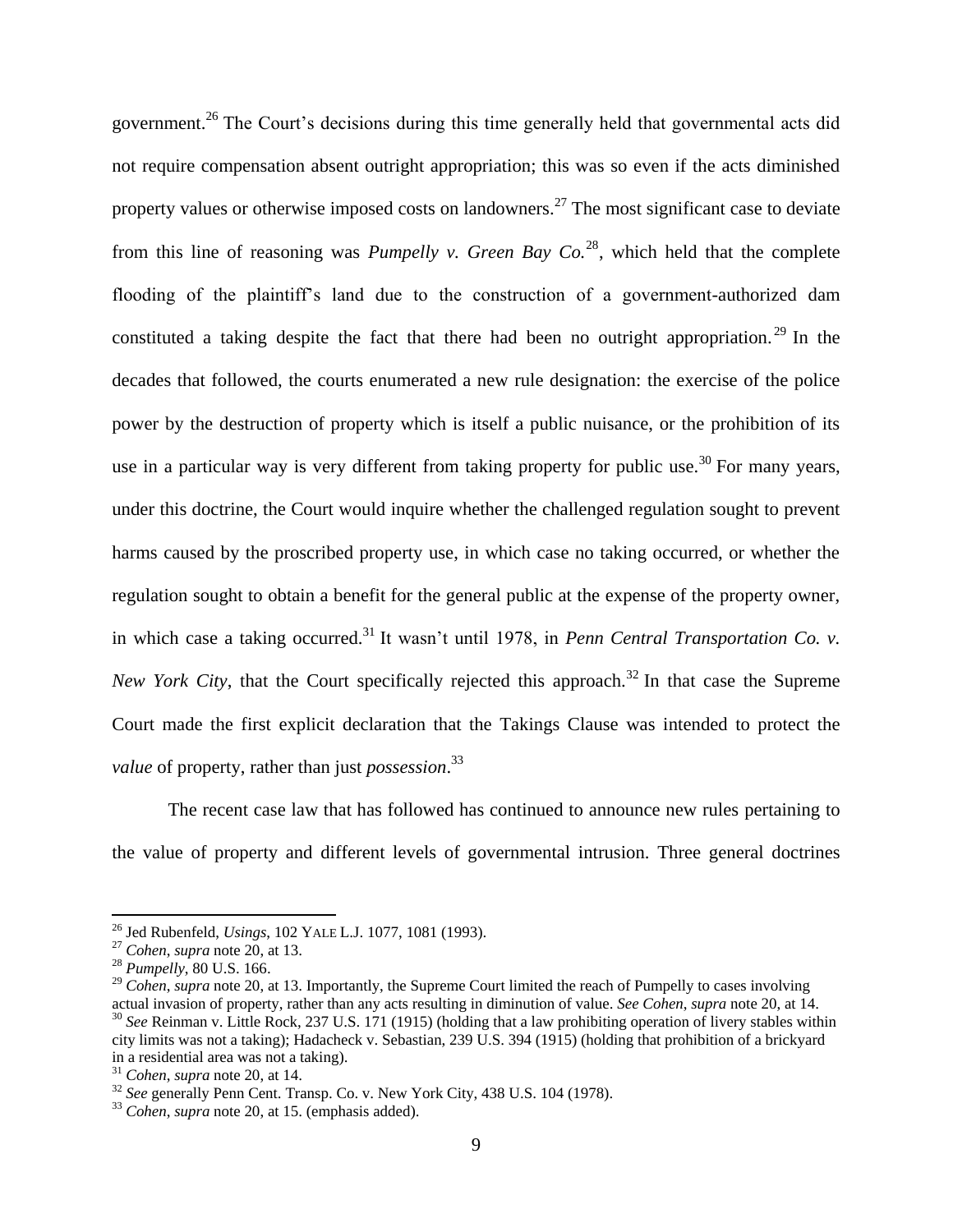government.<sup>26</sup> The Court's decisions during this time generally held that governmental acts did not require compensation absent outright appropriation; this was so even if the acts diminished property values or otherwise imposed costs on landowners.<sup>27</sup> The most significant case to deviate from this line of reasoning was *Pumpelly v. Green Bay Co.*<sup>28</sup>, which held that the complete flooding of the plaintiff's land due to the construction of a government-authorized dam constituted a taking despite the fact that there had been no outright appropriation.<sup>29</sup> In the decades that followed, the courts enumerated a new rule designation: the exercise of the police power by the destruction of property which is itself a public nuisance, or the prohibition of its use in a particular way is very different from taking property for public use.<sup>30</sup> For many years, under this doctrine, the Court would inquire whether the challenged regulation sought to prevent harms caused by the proscribed property use, in which case no taking occurred, or whether the regulation sought to obtain a benefit for the general public at the expense of the property owner, in which case a taking occurred.<sup>31</sup> It wasn't until 1978, in *Penn Central Transportation Co. v. New York City*, that the Court specifically rejected this approach.<sup>32</sup> In that case the Supreme Court made the first explicit declaration that the Takings Clause was intended to protect the *value* of property, rather than just *possession*. 33

The recent case law that has followed has continued to announce new rules pertaining to the value of property and different levels of governmental intrusion. Three general doctrines

 $\overline{a}$ 

<sup>26</sup> Jed Rubenfeld, *Usings*, 102 YALE L.J. 1077, 1081 (1993).

<sup>27</sup> *Cohen*, *supra* note 20, at 13.

<sup>28</sup> *Pumpelly*, 80 U.S. 166.

<sup>&</sup>lt;sup>29</sup> *Cohen, supra* note 20, at 13. Importantly, the Supreme Court limited the reach of Pumpelly to cases involving actual invasion of property, rather than any acts resulting in diminution of value. *See Cohen*, *supra* note 20, at 14. <sup>30</sup> *See* Reinman v. Little Rock, 237 U.S. 171 (1915) (holding that a law prohibiting operation of livery stables within city limits was not a taking); Hadacheck v. Sebastian, 239 U.S. 394 (1915) (holding that prohibition of a brickyard in a residential area was not a taking).

<sup>31</sup> *Cohen*, *supra* note 20, at 14.

<sup>&</sup>lt;sup>32</sup> See generally Penn Cent. Transp. Co. v. New York City, 438 U.S. 104 (1978).

<sup>33</sup> *Cohen*, *supra* note 20, at 15. (emphasis added).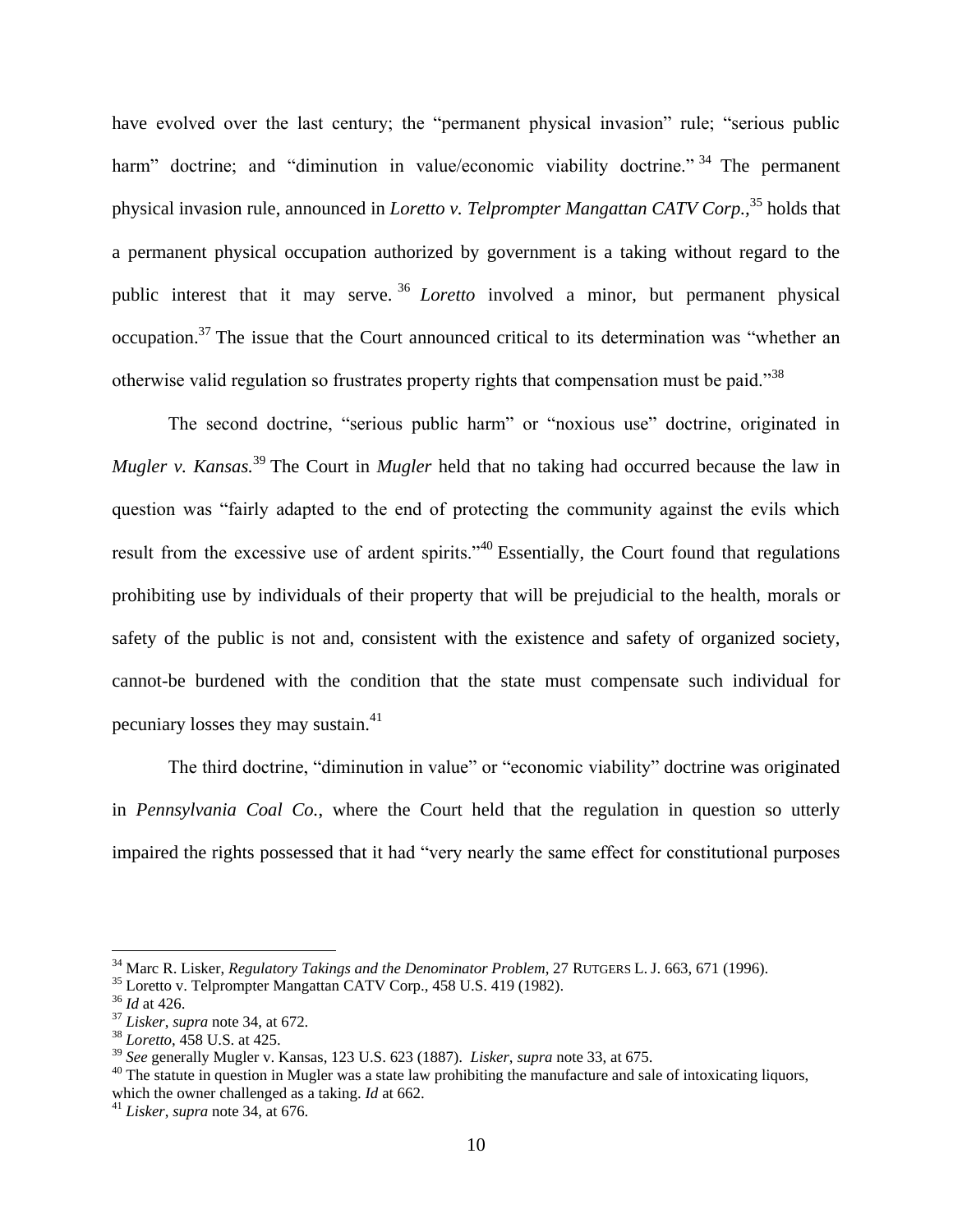have evolved over the last century; the "permanent physical invasion" rule; "serious public harm" doctrine; and "diminution in value/economic viability doctrine." <sup>34</sup> The permanent physical invasion rule, announced in *Loretto v. Telprompter Mangattan CATV Corp.,* <sup>35</sup> holds that a permanent physical occupation authorized by government is a taking without regard to the public interest that it may serve. <sup>36</sup> *Loretto* involved a minor, but permanent physical occupation.<sup>37</sup> The issue that the Court announced critical to its determination was "whether an otherwise valid regulation so frustrates property rights that compensation must be paid."<sup>38</sup>

The second doctrine, "serious public harm" or "noxious use" doctrine, originated in *Mugler v. Kansas.*<sup>39</sup> The Court in *Mugler* held that no taking had occurred because the law in question was "fairly adapted to the end of protecting the community against the evils which result from the excessive use of ardent spirits."<sup>40</sup> Essentially, the Court found that regulations prohibiting use by individuals of their property that will be prejudicial to the health, morals or safety of the public is not and, consistent with the existence and safety of organized society, cannot-be burdened with the condition that the state must compensate such individual for pecuniary losses they may sustain. $41$ 

The third doctrine, "diminution in value" or "economic viability" doctrine was originated in *Pennsylvania Coal Co.*, where the Court held that the regulation in question so utterly impaired the rights possessed that it had "very nearly the same effect for constitutional purposes

<sup>34</sup> Marc R. Lisker, *Regulatory Takings and the Denominator Problem*, 27 RUTGERS L. J. 663, 671 (1996).

<sup>35</sup> Loretto v. Telprompter Mangattan CATV Corp., 458 U.S. 419 (1982).

<sup>36</sup> *Id* at 426.

<sup>37</sup> *Lisker*, *supra* note 34, at 672.

<sup>38</sup> *Loretto*, 458 U.S. at 425.

<sup>39</sup> *See* generally Mugler v. Kansas, 123 U.S. 623 (1887). *Lisker*, *supra* note 33, at 675.

 $40$  The statute in question in Mugler was a state law prohibiting the manufacture and sale of intoxicating liquors, which the owner challenged as a taking. *Id* at 662.

<sup>41</sup> *Lisker*, *supra* note 34, at 676.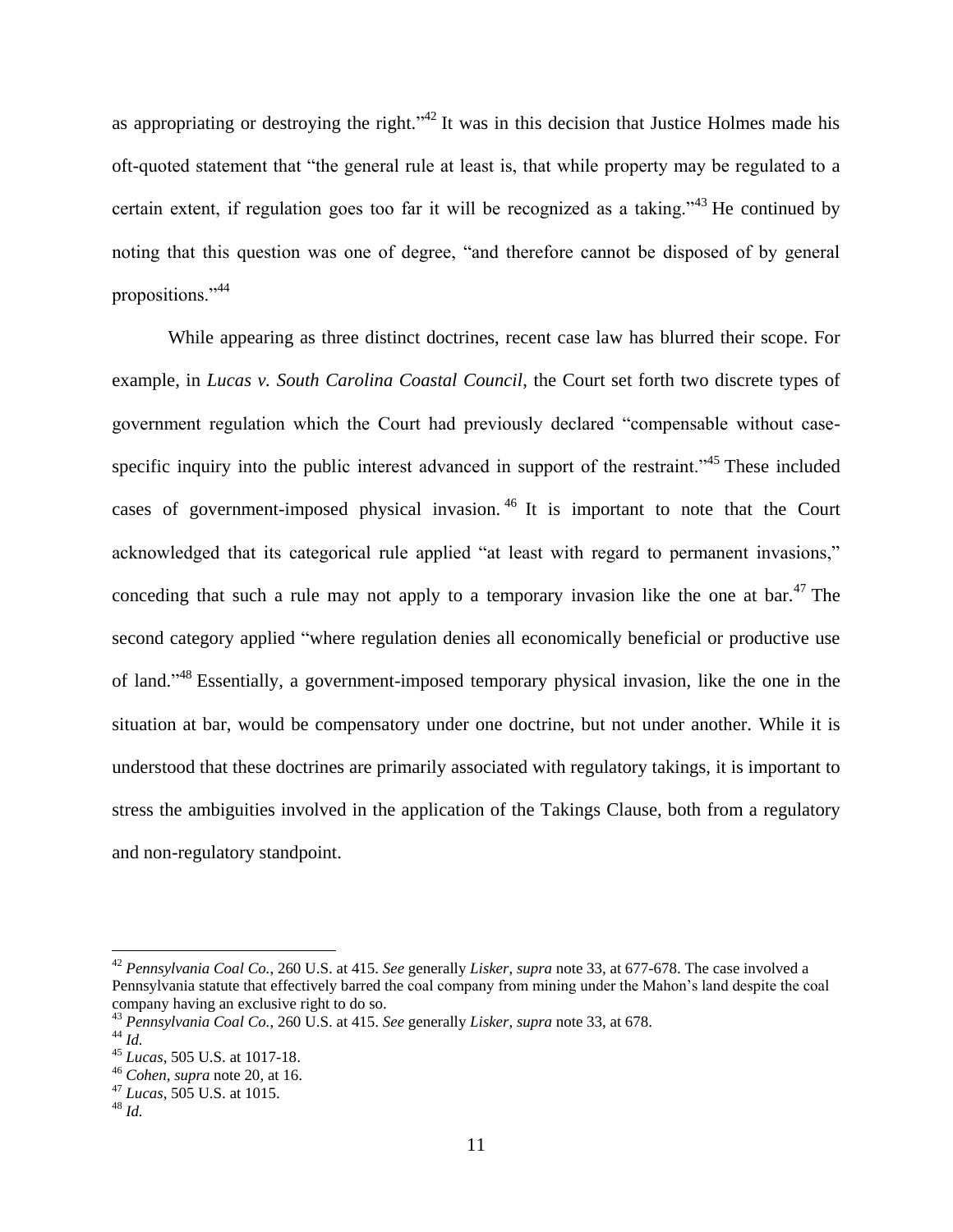as appropriating or destroying the right."<sup>42</sup> It was in this decision that Justice Holmes made his oft-quoted statement that "the general rule at least is, that while property may be regulated to a certain extent, if regulation goes too far it will be recognized as a taking."<sup>43</sup> He continued by noting that this question was one of degree, "and therefore cannot be disposed of by general propositions."<sup>44</sup>

While appearing as three distinct doctrines, recent case law has blurred their scope. For example, in *Lucas v. South Carolina Coastal Council*, the Court set forth two discrete types of government regulation which the Court had previously declared "compensable without casespecific inquiry into the public interest advanced in support of the restraint."<sup>45</sup> These included cases of government-imposed physical invasion. <sup>46</sup> It is important to note that the Court acknowledged that its categorical rule applied "at least with regard to permanent invasions," conceding that such a rule may not apply to a temporary invasion like the one at bar.<sup>47</sup> The second category applied "where regulation denies all economically beneficial or productive use of land."<sup>48</sup> Essentially, a government-imposed temporary physical invasion, like the one in the situation at bar, would be compensatory under one doctrine, but not under another. While it is understood that these doctrines are primarily associated with regulatory takings, it is important to stress the ambiguities involved in the application of the Takings Clause, both from a regulatory and non-regulatory standpoint.

<sup>42</sup> *Pennsylvania Coal Co.*, 260 U.S. at 415. *See* generally *Lisker*, *supra* note 33, at 677-678. The case involved a Pennsylvania statute that effectively barred the coal company from mining under the Mahon's land despite the coal company having an exclusive right to do so.

<sup>43</sup> *Pennsylvania Coal Co.*, 260 U.S. at 415. *See* generally *Lisker*, *supra* note 33, at 678.

<sup>44</sup> *Id.*

<sup>45</sup> *Lucas*, 505 U.S. at 1017-18.

<sup>46</sup> *Cohen*, *supra* note 20, at 16.

<sup>47</sup> *Lucas*, 505 U.S. at 1015.

<sup>48</sup> *Id.*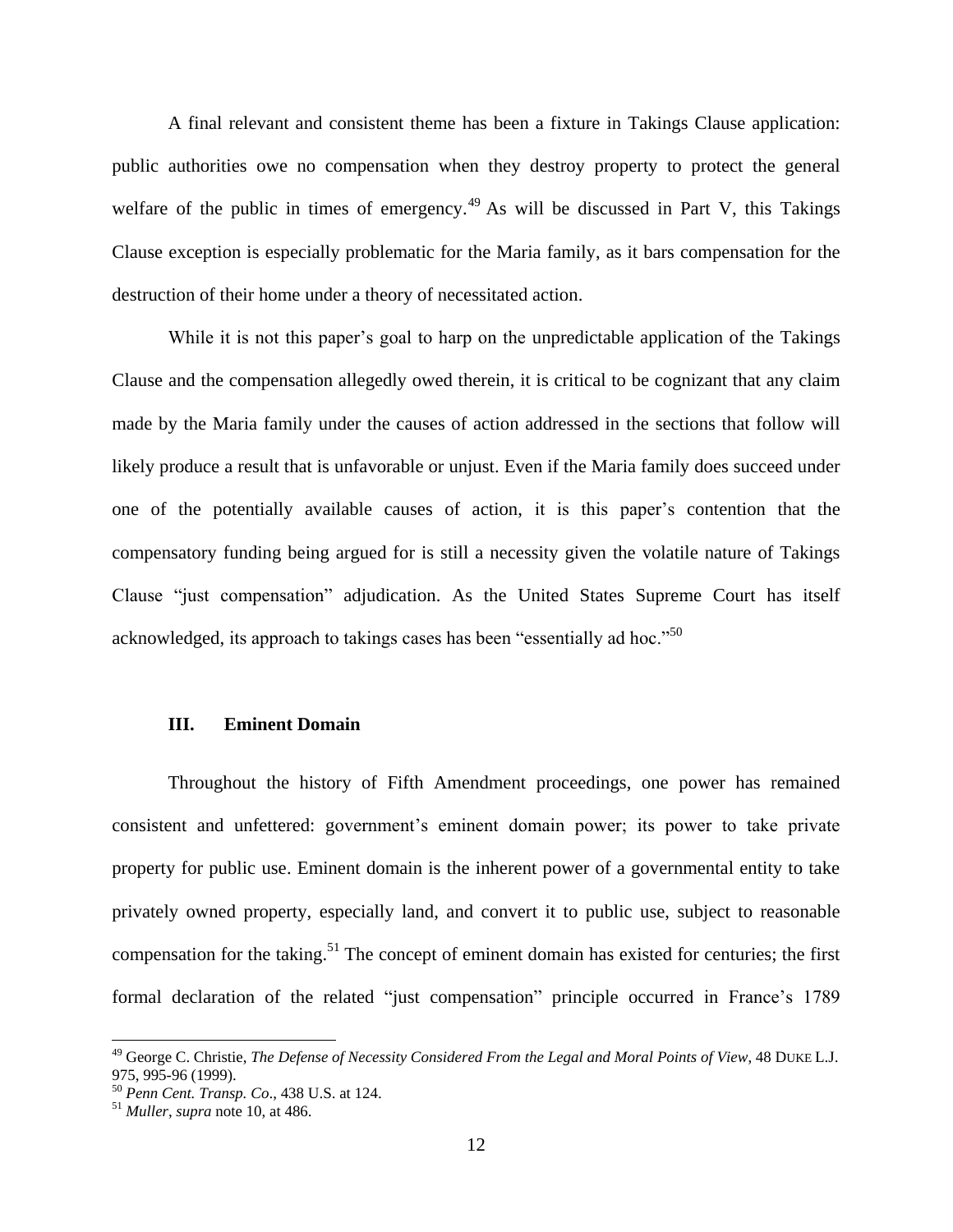A final relevant and consistent theme has been a fixture in Takings Clause application: public authorities owe no compensation when they destroy property to protect the general welfare of the public in times of emergency.<sup>49</sup> As will be discussed in Part V, this Takings Clause exception is especially problematic for the Maria family, as it bars compensation for the destruction of their home under a theory of necessitated action.

While it is not this paper's goal to harp on the unpredictable application of the Takings Clause and the compensation allegedly owed therein, it is critical to be cognizant that any claim made by the Maria family under the causes of action addressed in the sections that follow will likely produce a result that is unfavorable or unjust. Even if the Maria family does succeed under one of the potentially available causes of action, it is this paper's contention that the compensatory funding being argued for is still a necessity given the volatile nature of Takings Clause "just compensation" adjudication. As the United States Supreme Court has itself acknowledged, its approach to takings cases has been "essentially ad hoc."<sup>50</sup>

#### **III. Eminent Domain**

Throughout the history of Fifth Amendment proceedings, one power has remained consistent and unfettered: government's eminent domain power; its power to take private property for public use. Eminent domain is the inherent power of a governmental entity to take privately owned property, especially land, and convert it to public use, subject to reasonable compensation for the taking.<sup>51</sup> The concept of eminent domain has existed for centuries; the first formal declaration of the related "just compensation" principle occurred in France's 1789

<sup>49</sup> George C. Christie, *The Defense of Necessity Considered From the Legal and Moral Points of View*, 48 DUKE L.J. 975, 995-96 (1999).

<sup>50</sup> *Penn Cent. Transp. Co*., 438 U.S. at 124.

<sup>51</sup> *Muller*, *supra* note 10, at 486.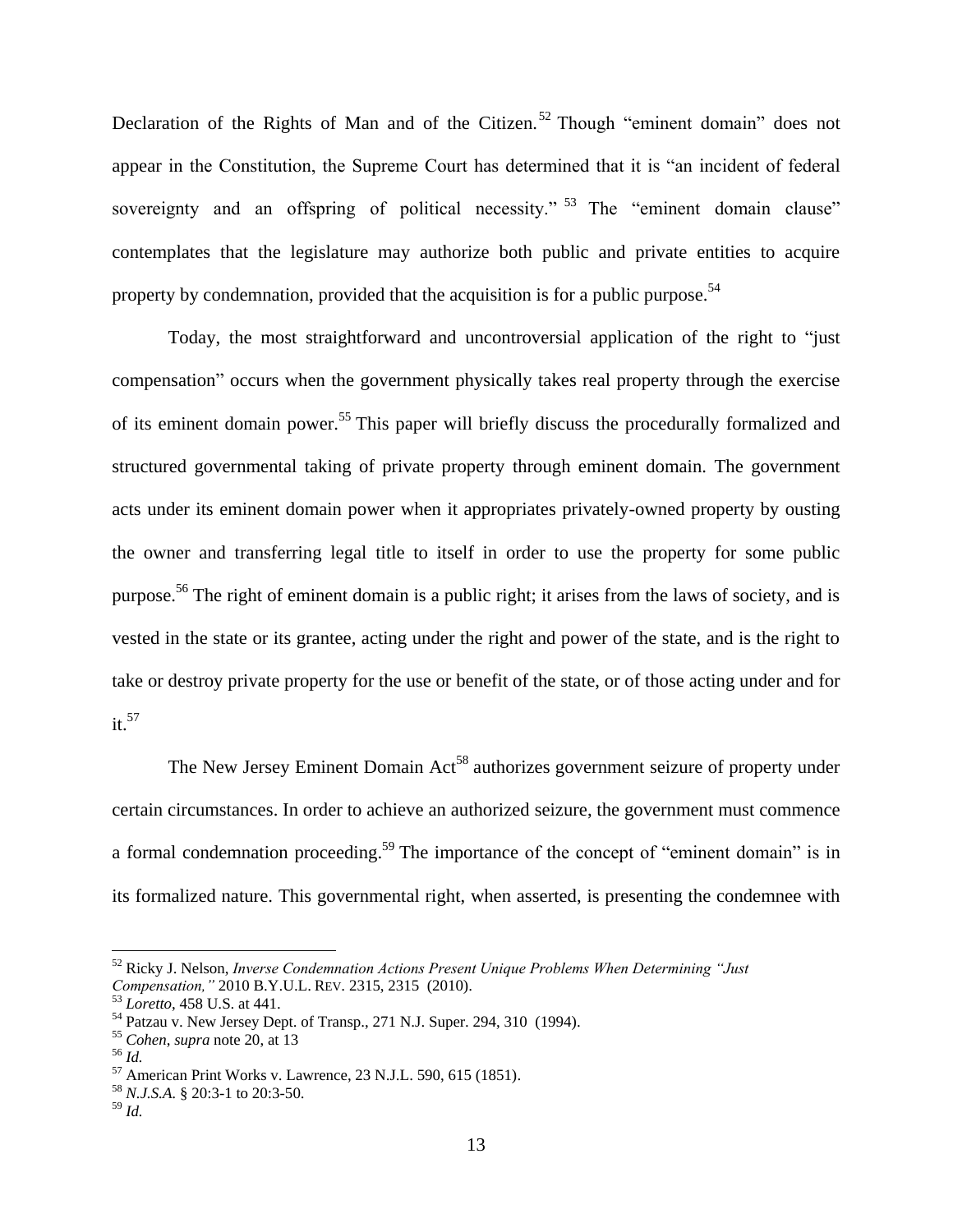Declaration of the Rights of Man and of the Citizen.<sup>52</sup> Though "eminent domain" does not appear in the Constitution, the Supreme Court has determined that it is "an incident of federal sovereignty and an offspring of political necessity." <sup>53</sup> The "eminent domain clause" contemplates that the legislature may authorize both public and private entities to acquire property by condemnation, provided that the acquisition is for a public purpose.<sup>54</sup>

Today, the most straightforward and uncontroversial application of the right to "just compensation" occurs when the government physically takes real property through the exercise of its eminent domain power.<sup>55</sup> This paper will briefly discuss the procedurally formalized and structured governmental taking of private property through eminent domain. The government acts under its eminent domain power when it appropriates privately-owned property by ousting the owner and transferring legal title to itself in order to use the property for some public purpose.<sup>56</sup> The right of eminent domain is a public right; it arises from the laws of society, and is vested in the state or its grantee, acting under the right and power of the state, and is the right to take or destroy private property for the use or benefit of the state, or of those acting under and for it. 57

The New Jersey Eminent Domain Act<sup>58</sup> authorizes government seizure of property under certain circumstances. In order to achieve an authorized seizure, the government must commence a formal condemnation proceeding.<sup>59</sup> The importance of the concept of "eminent domain" is in its formalized nature. This governmental right, when asserted, is presenting the condemnee with

<sup>52</sup> Ricky J. Nelson, *Inverse Condemnation Actions Present Unique Problems When Determining "Just Compensation,"* 2010 B.Y.U.L. REV. 2315, 2315 (2010).

<sup>53</sup> *Loretto*, 458 U.S. at 441.

<sup>54</sup> Patzau v. New Jersey Dept. of Transp., 271 N.J. Super. 294, 310 (1994).

<sup>55</sup> *Cohen*, *supra* note 20, at 13

<sup>56</sup> *Id.*

<sup>57</sup> American Print Works v. Lawrence, 23 N.J.L. 590, 615 (1851).

<sup>58</sup> *N.J.S.A.* § 20:3-1 to 20:3-50.

<sup>59</sup> *Id.*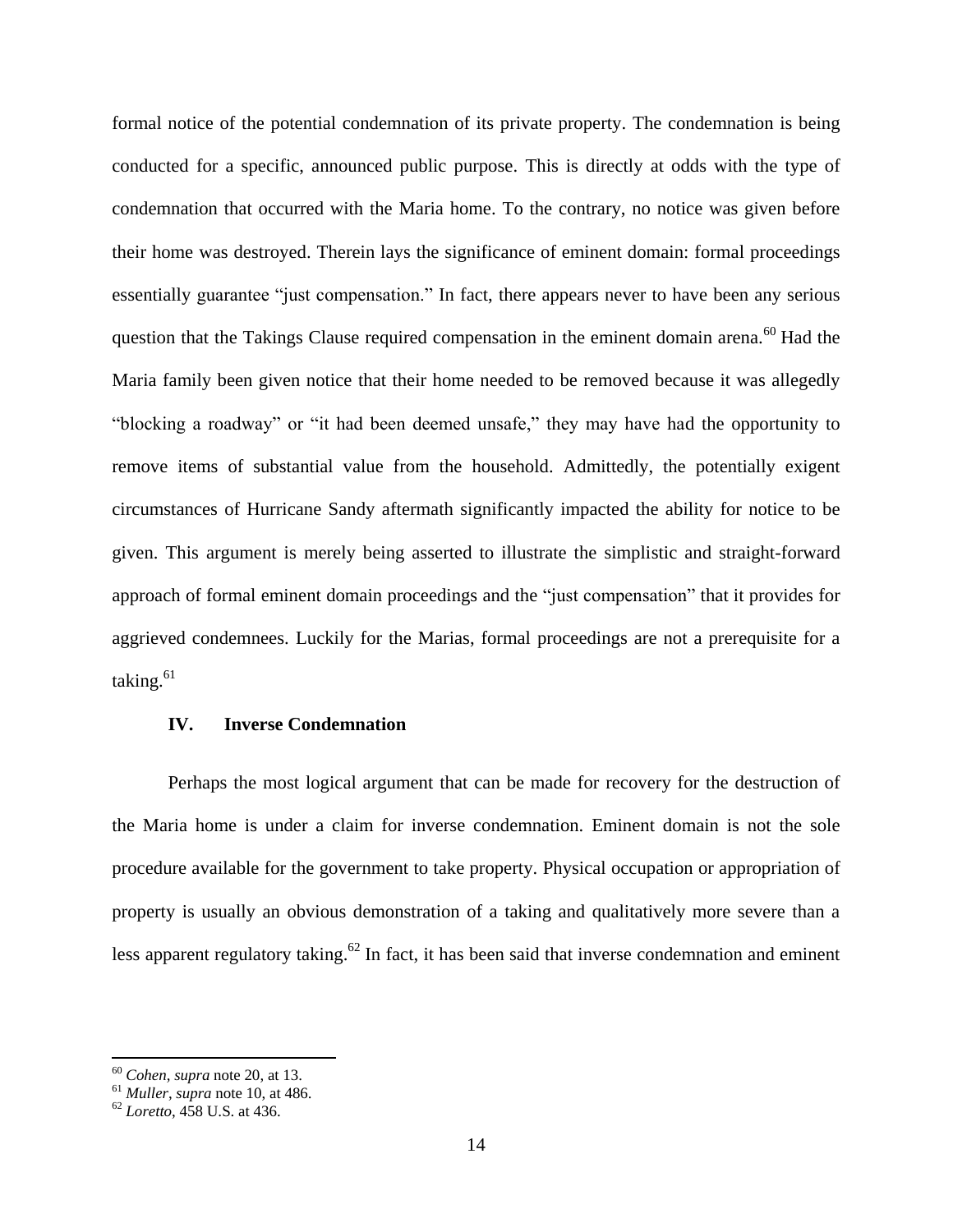formal notice of the potential condemnation of its private property. The condemnation is being conducted for a specific, announced public purpose. This is directly at odds with the type of condemnation that occurred with the Maria home. To the contrary, no notice was given before their home was destroyed. Therein lays the significance of eminent domain: formal proceedings essentially guarantee "just compensation." In fact, there appears never to have been any serious question that the Takings Clause required compensation in the eminent domain arena.<sup>60</sup> Had the Maria family been given notice that their home needed to be removed because it was allegedly "blocking a roadway" or "it had been deemed unsafe," they may have had the opportunity to remove items of substantial value from the household. Admittedly, the potentially exigent circumstances of Hurricane Sandy aftermath significantly impacted the ability for notice to be given. This argument is merely being asserted to illustrate the simplistic and straight-forward approach of formal eminent domain proceedings and the "just compensation" that it provides for aggrieved condemnees. Luckily for the Marias, formal proceedings are not a prerequisite for a taking. $61$ 

#### **IV. Inverse Condemnation**

Perhaps the most logical argument that can be made for recovery for the destruction of the Maria home is under a claim for inverse condemnation. Eminent domain is not the sole procedure available for the government to take property. Physical occupation or appropriation of property is usually an obvious demonstration of a taking and qualitatively more severe than a less apparent regulatory taking.<sup>62</sup> In fact, it has been said that inverse condemnation and eminent

<sup>60</sup> *Cohen*, *supra* note 20, at 13.

<sup>61</sup> *Muller*, *supra* note 10, at 486.

<sup>62</sup> *Loretto*, 458 U.S. at 436.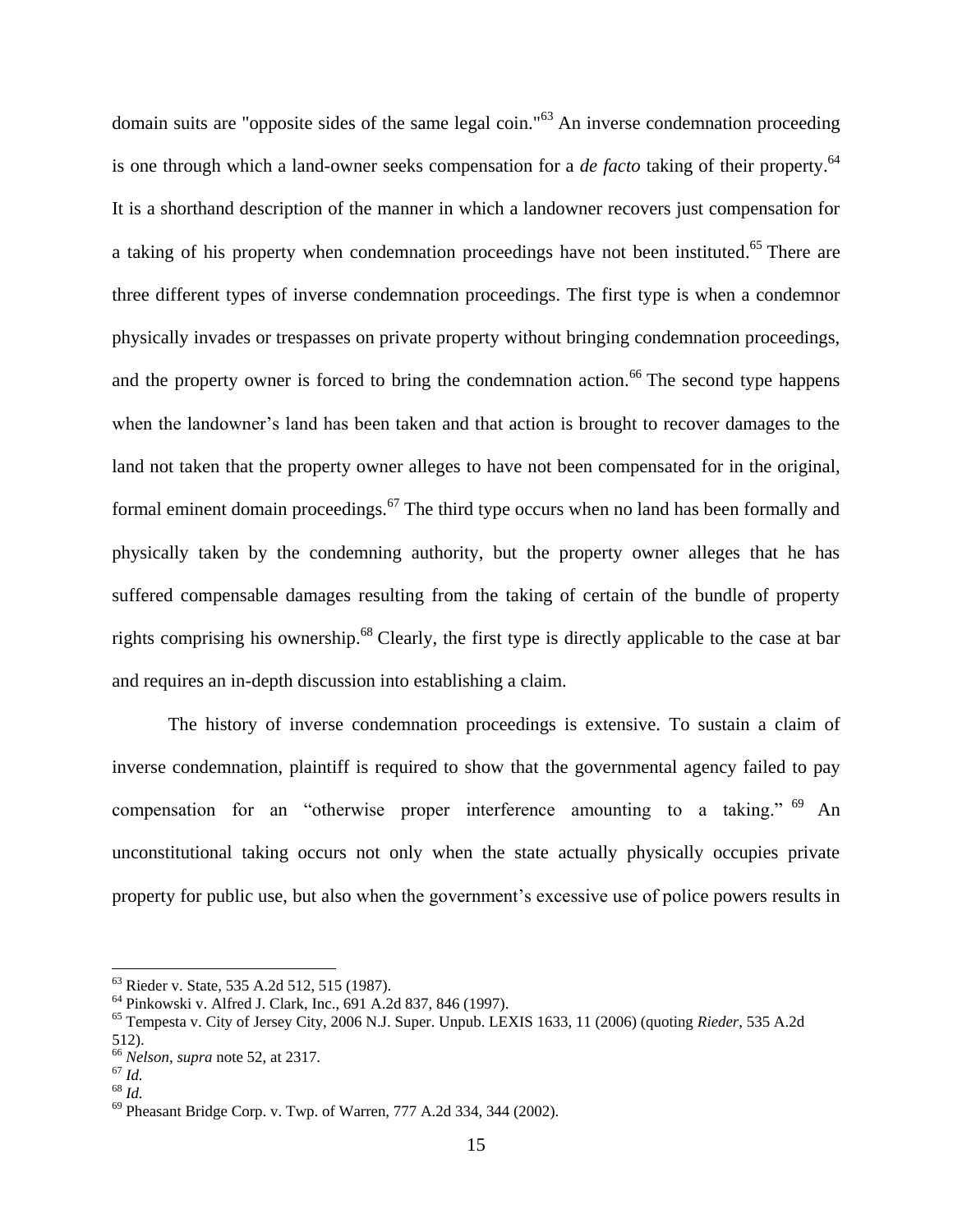domain suits are "opposite sides of the same legal coin."<sup>63</sup> An inverse condemnation proceeding is one through which a land-owner seeks compensation for a *de facto* taking of their property.<sup>64</sup> It is a shorthand description of the manner in which a landowner recovers just compensation for a taking of his property when condemnation proceedings have not been instituted.<sup>65</sup> There are three different types of inverse condemnation proceedings. The first type is when a condemnor physically invades or trespasses on private property without bringing condemnation proceedings, and the property owner is forced to bring the condemnation action.<sup>66</sup> The second type happens when the landowner's land has been taken and that action is brought to recover damages to the land not taken that the property owner alleges to have not been compensated for in the original, formal eminent domain proceedings. $67$  The third type occurs when no land has been formally and physically taken by the condemning authority, but the property owner alleges that he has suffered compensable damages resulting from the taking of certain of the bundle of property rights comprising his ownership.<sup>68</sup> Clearly, the first type is directly applicable to the case at bar and requires an in-depth discussion into establishing a claim.

The history of inverse condemnation proceedings is extensive. To sustain a claim of inverse condemnation, plaintiff is required to show that the governmental agency failed to pay compensation for an "otherwise proper interference amounting to a taking." <sup>69</sup> An unconstitutional taking occurs not only when the state actually physically occupies private property for public use, but also when the government's excessive use of police powers results in

 $\overline{a}$ 

<sup>63</sup> Rieder v. State, 535 A.2d 512, 515 (1987).

<sup>64</sup> Pinkowski v. Alfred J. Clark, Inc., 691 A.2d 837, 846 (1997).

<sup>65</sup> Tempesta v. City of Jersey City, 2006 N.J. Super. Unpub. LEXIS 1633, 11 (2006) (quoting *Rieder*, 535 A.2d 512).

<sup>66</sup> *Nelson*, *supra* note 52, at 2317.

 $^{67}$  *Id.* 

<sup>68</sup> *Id.*

<sup>69</sup> Pheasant Bridge Corp. v. Twp. of Warren, 777 A.2d 334, 344 (2002).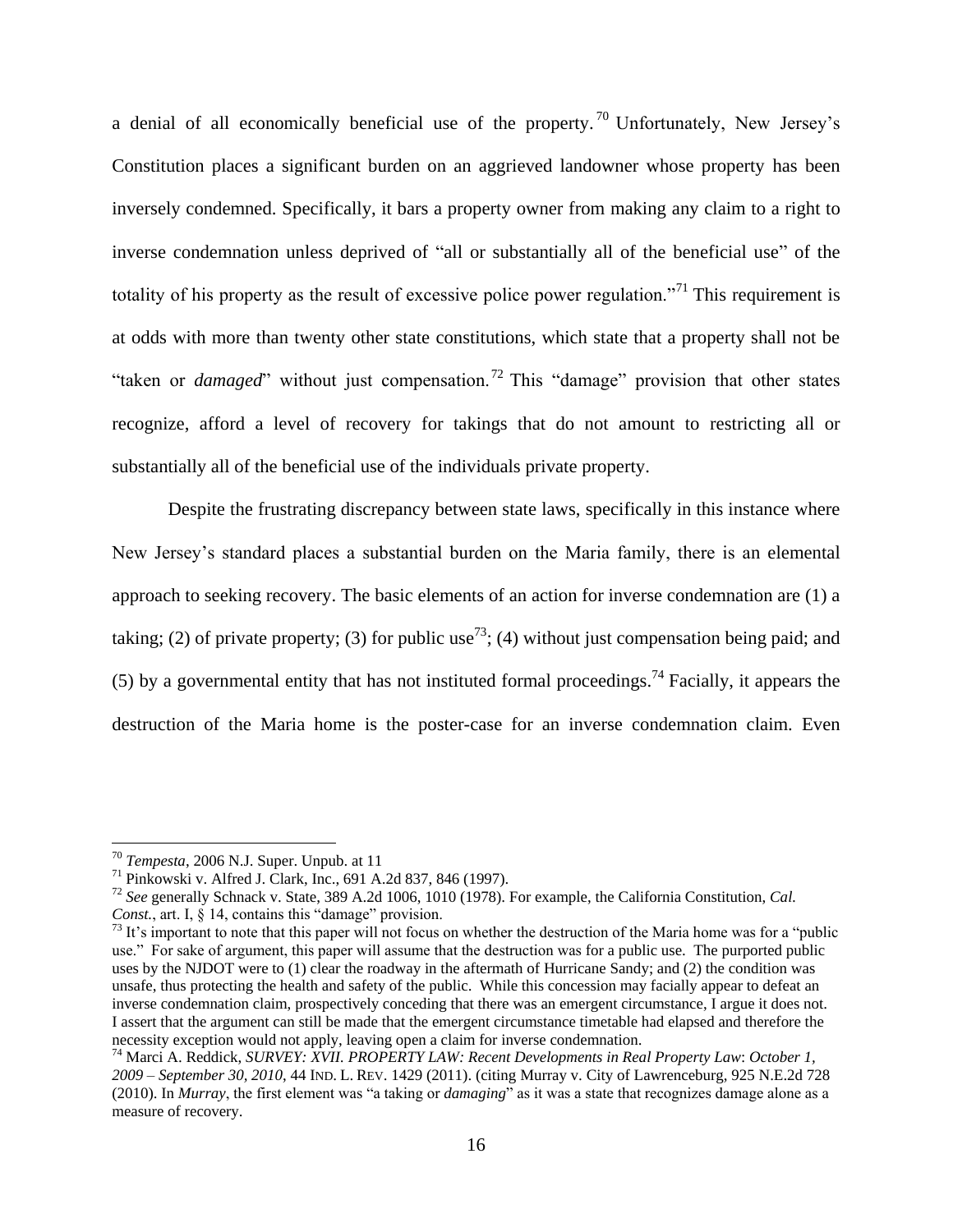a denial of all economically beneficial use of the property.<sup>70</sup> Unfortunately, New Jersey's Constitution places a significant burden on an aggrieved landowner whose property has been inversely condemned. Specifically, it bars a property owner from making any claim to a right to inverse condemnation unless deprived of "all or substantially all of the beneficial use" of the totality of his property as the result of excessive police power regulation."<sup>71</sup> This requirement is at odds with more than twenty other state constitutions, which state that a property shall not be "taken or *damaged*" without just compensation.<sup>72</sup> This "damage" provision that other states recognize, afford a level of recovery for takings that do not amount to restricting all or substantially all of the beneficial use of the individuals private property.

Despite the frustrating discrepancy between state laws, specifically in this instance where New Jersey's standard places a substantial burden on the Maria family, there is an elemental approach to seeking recovery. The basic elements of an action for inverse condemnation are (1) a taking; (2) of private property; (3) for public use<sup>73</sup>; (4) without just compensation being paid; and (5) by a governmental entity that has not instituted formal proceedings.<sup>74</sup> Facially, it appears the destruction of the Maria home is the poster-case for an inverse condemnation claim. Even

<sup>70</sup> *Tempesta*, 2006 N.J. Super. Unpub. at 11

<sup>71</sup> Pinkowski v. Alfred J. Clark, Inc., 691 A.2d 837, 846 (1997).

<sup>72</sup> *See* generally Schnack v. State, 389 A.2d 1006, 1010 (1978). For example, the California Constitution, *Cal. Const.*, art. I, § 14, contains this "damage" provision.

 $73$  It's important to note that this paper will not focus on whether the destruction of the Maria home was for a "public use." For sake of argument, this paper will assume that the destruction was for a public use. The purported public uses by the NJDOT were to (1) clear the roadway in the aftermath of Hurricane Sandy; and (2) the condition was unsafe, thus protecting the health and safety of the public. While this concession may facially appear to defeat an inverse condemnation claim, prospectively conceding that there was an emergent circumstance, I argue it does not. I assert that the argument can still be made that the emergent circumstance timetable had elapsed and therefore the necessity exception would not apply, leaving open a claim for inverse condemnation.

<sup>74</sup> Marci A. Reddick, *SURVEY: XVII. PROPERTY LAW: Recent Developments in Real Property Law*: *October 1, 2009 – September 30, 2010*, 44 IND. L. REV. 1429 (2011). (citing Murray v. City of Lawrenceburg, 925 N.E.2d 728 (2010). In *Murray*, the first element was "a taking or *damaging*" as it was a state that recognizes damage alone as a measure of recovery.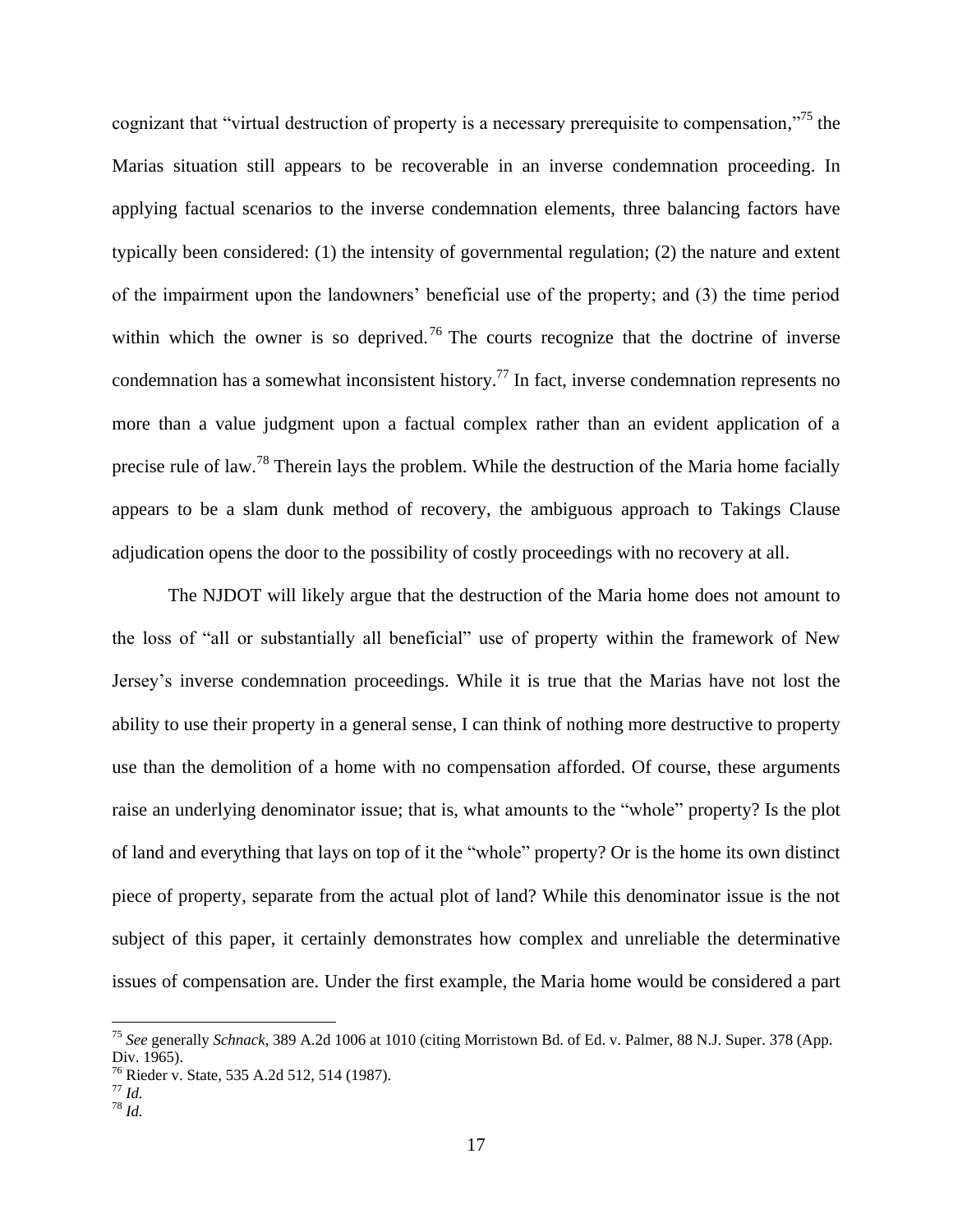cognizant that "virtual destruction of property is a necessary prerequisite to compensation,"<sup>75</sup> the Marias situation still appears to be recoverable in an inverse condemnation proceeding. In applying factual scenarios to the inverse condemnation elements, three balancing factors have typically been considered: (1) the intensity of governmental regulation; (2) the nature and extent of the impairment upon the landowners' beneficial use of the property; and (3) the time period within which the owner is so deprived.<sup>76</sup> The courts recognize that the doctrine of inverse condemnation has a somewhat inconsistent history.<sup>77</sup> In fact, inverse condemnation represents no more than a value judgment upon a factual complex rather than an evident application of a precise rule of law.<sup>78</sup> Therein lays the problem. While the destruction of the Maria home facially appears to be a slam dunk method of recovery, the ambiguous approach to Takings Clause adjudication opens the door to the possibility of costly proceedings with no recovery at all.

The NJDOT will likely argue that the destruction of the Maria home does not amount to the loss of "all or substantially all beneficial" use of property within the framework of New Jersey's inverse condemnation proceedings. While it is true that the Marias have not lost the ability to use their property in a general sense, I can think of nothing more destructive to property use than the demolition of a home with no compensation afforded. Of course, these arguments raise an underlying denominator issue; that is, what amounts to the "whole" property? Is the plot of land and everything that lays on top of it the "whole" property? Or is the home its own distinct piece of property, separate from the actual plot of land? While this denominator issue is the not subject of this paper, it certainly demonstrates how complex and unreliable the determinative issues of compensation are. Under the first example, the Maria home would be considered a part

 $\overline{a}$ 

<sup>75</sup> *See* generally *Schnack*, 389 A.2d 1006 at 1010 (citing Morristown Bd. of Ed. v. Palmer, 88 N.J. Super. 378 (App. Div. 1965).

<sup>76</sup> Rieder v. State, 535 A.2d 512, 514 (1987).

<sup>77</sup> *Id.*

<sup>78</sup> *Id.*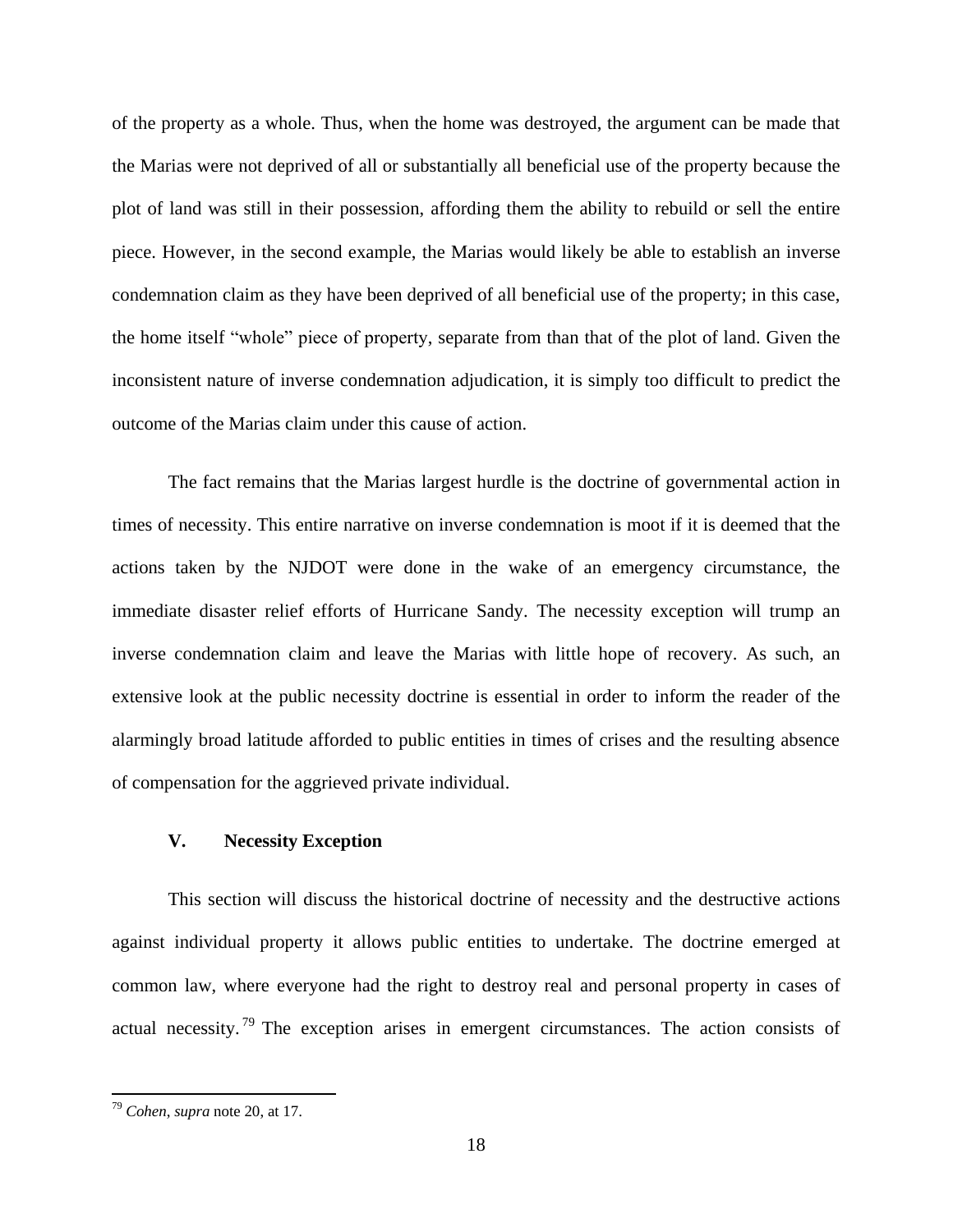of the property as a whole. Thus, when the home was destroyed, the argument can be made that the Marias were not deprived of all or substantially all beneficial use of the property because the plot of land was still in their possession, affording them the ability to rebuild or sell the entire piece. However, in the second example, the Marias would likely be able to establish an inverse condemnation claim as they have been deprived of all beneficial use of the property; in this case, the home itself "whole" piece of property, separate from than that of the plot of land. Given the inconsistent nature of inverse condemnation adjudication, it is simply too difficult to predict the outcome of the Marias claim under this cause of action.

The fact remains that the Marias largest hurdle is the doctrine of governmental action in times of necessity. This entire narrative on inverse condemnation is moot if it is deemed that the actions taken by the NJDOT were done in the wake of an emergency circumstance, the immediate disaster relief efforts of Hurricane Sandy. The necessity exception will trump an inverse condemnation claim and leave the Marias with little hope of recovery. As such, an extensive look at the public necessity doctrine is essential in order to inform the reader of the alarmingly broad latitude afforded to public entities in times of crises and the resulting absence of compensation for the aggrieved private individual.

# **V. Necessity Exception**

This section will discuss the historical doctrine of necessity and the destructive actions against individual property it allows public entities to undertake. The doctrine emerged at common law, where everyone had the right to destroy real and personal property in cases of actual necessity.<sup>79</sup> The exception arises in emergent circumstances. The action consists of

<sup>79</sup> *Cohen*, *supra* note 20, at 17.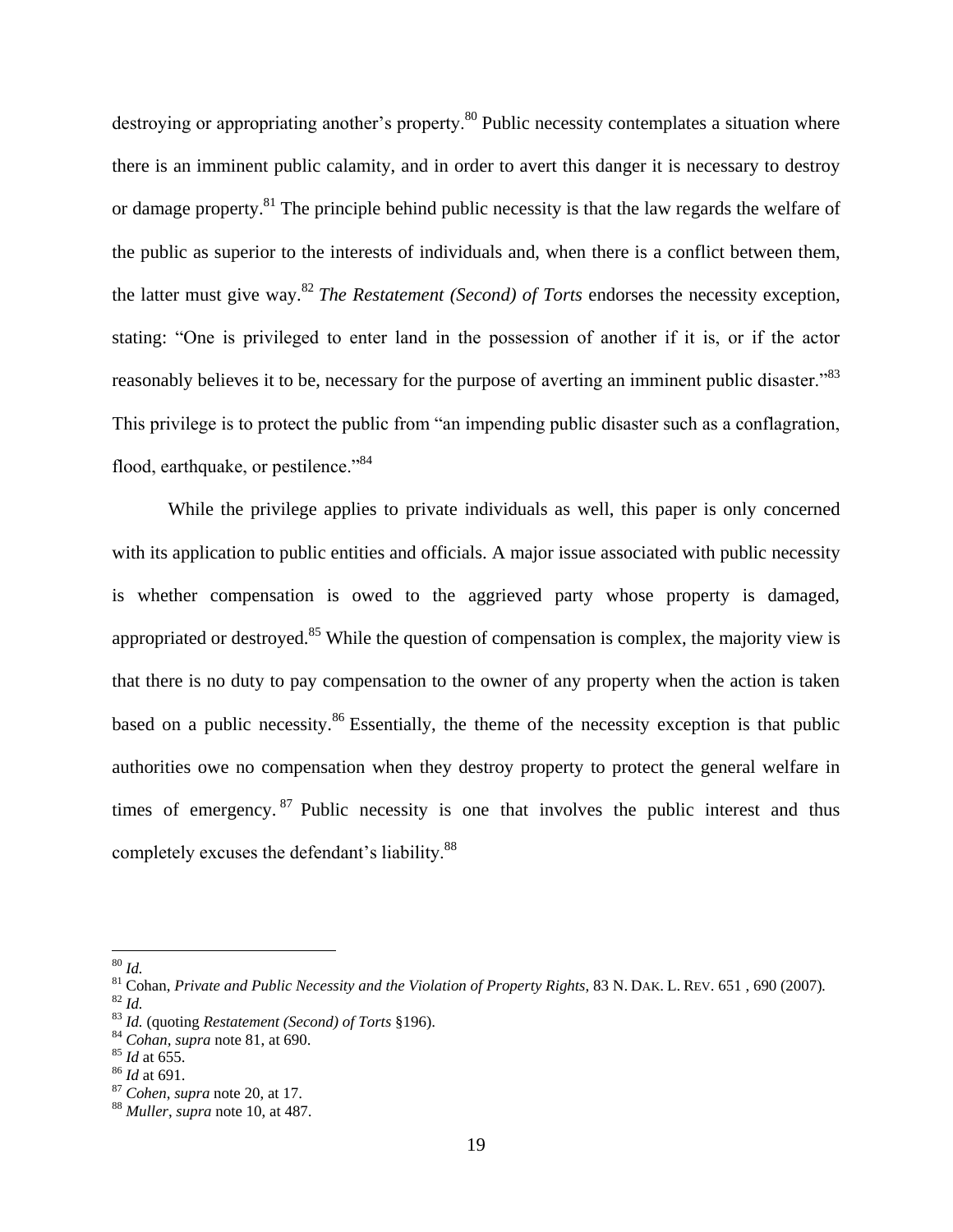destroying or appropriating another's property.<sup>80</sup> Public necessity contemplates a situation where there is an imminent public calamity, and in order to avert this danger it is necessary to destroy or damage property.<sup>81</sup> The principle behind public necessity is that the law regards the welfare of the public as superior to the interests of individuals and, when there is a conflict between them, the latter must give way.<sup>82</sup> *The Restatement (Second) of Torts* endorses the necessity exception, stating: "One is privileged to enter land in the possession of another if it is, or if the actor reasonably believes it to be, necessary for the purpose of averting an imminent public disaster."<sup>83</sup> This privilege is to protect the public from "an impending public disaster such as a conflagration, flood, earthquake, or pestilence."<sup>84</sup>

While the privilege applies to private individuals as well, this paper is only concerned with its application to public entities and officials. A major issue associated with public necessity is whether compensation is owed to the aggrieved party whose property is damaged, appropriated or destroyed.<sup>85</sup> While the question of compensation is complex, the majority view is that there is no duty to pay compensation to the owner of any property when the action is taken based on a public necessity.<sup>86</sup> Essentially, the theme of the necessity exception is that public authorities owe no compensation when they destroy property to protect the general welfare in times of emergency.  $87$  Public necessity is one that involves the public interest and thus completely excuses the defendant's liability.<sup>88</sup>

<sup>80</sup> *Id.*

<sup>81</sup> Cohan, *Private and Public Necessity and the Violation of Property Rights*, 83 N. DAK. L. REV. 651 , 690 (2007)*.* <sup>82</sup> *Id.*

<sup>83</sup> *Id.* (quoting *Restatement (Second) of Torts* §196).

<sup>84</sup> *Cohan, supra* note 81, at 690.

<sup>85</sup> *Id* at 655.

<sup>86</sup> *Id* at 691.

<sup>87</sup> *Cohen*, *supra* note 20, at 17.

<sup>88</sup> *Muller*, *supra* note 10, at 487.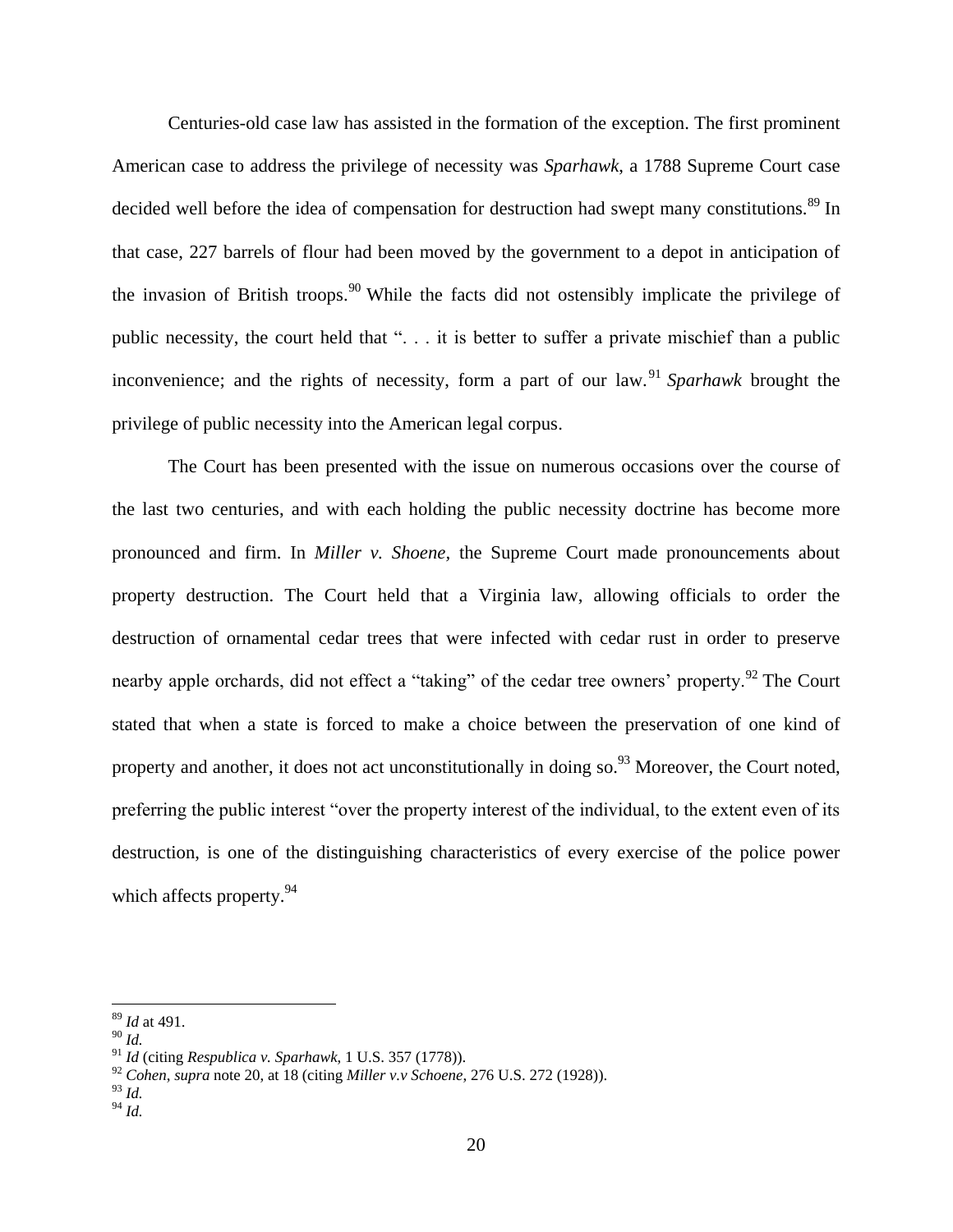Centuries-old case law has assisted in the formation of the exception. The first prominent American case to address the privilege of necessity was *Sparhawk*, a 1788 Supreme Court case decided well before the idea of compensation for destruction had swept many constitutions.<sup>89</sup> In that case, 227 barrels of flour had been moved by the government to a depot in anticipation of the invasion of British troops.<sup>90</sup> While the facts did not ostensibly implicate the privilege of public necessity, the court held that ". . . it is better to suffer a private mischief than a public inconvenience; and the rights of necessity, form a part of our law.<sup>91</sup> Sparhawk brought the privilege of public necessity into the American legal corpus.

The Court has been presented with the issue on numerous occasions over the course of the last two centuries, and with each holding the public necessity doctrine has become more pronounced and firm. In *Miller v. Shoene,* the Supreme Court made pronouncements about property destruction. The Court held that a Virginia law, allowing officials to order the destruction of ornamental cedar trees that were infected with cedar rust in order to preserve nearby apple orchards, did not effect a "taking" of the cedar tree owners' property.<sup>92</sup> The Court stated that when a state is forced to make a choice between the preservation of one kind of property and another, it does not act unconstitutionally in doing so.<sup>93</sup> Moreover, the Court noted, preferring the public interest "over the property interest of the individual, to the extent even of its destruction, is one of the distinguishing characteristics of every exercise of the police power which affects property.<sup>94</sup>

<sup>89</sup> *Id* at 491.

<sup>90</sup> *Id.*

<sup>91</sup> *Id* (citing *Respublica v. Sparhawk*, 1 U.S. 357 (1778)).

<sup>92</sup> *Cohen*, *supra* note 20, at 18 (citing *Miller v.v Schoene*, 276 U.S. 272 (1928)).

<sup>93</sup> *Id.*

<sup>94</sup> *Id.*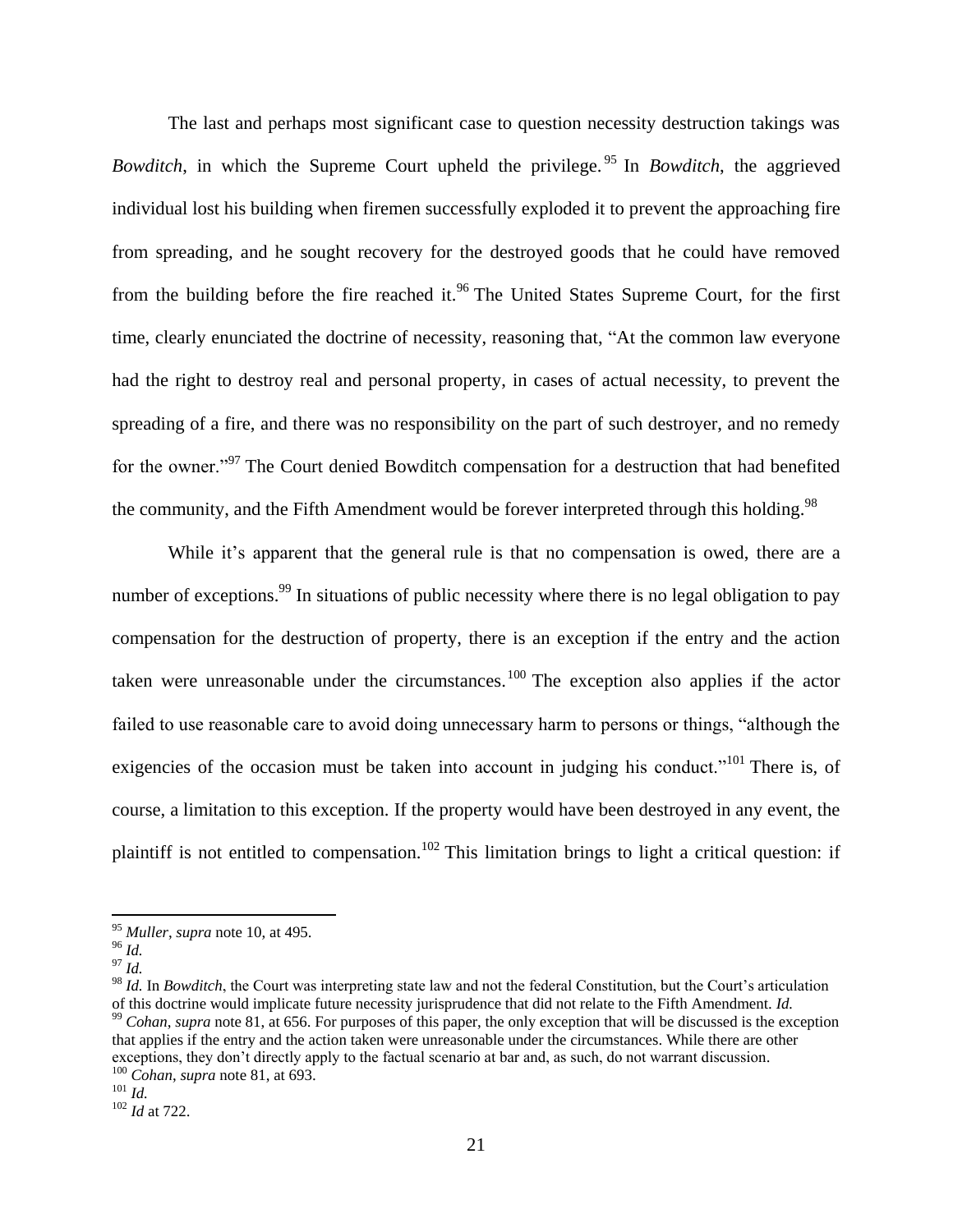The last and perhaps most significant case to question necessity destruction takings was *Bowditch*, in which the Supreme Court upheld the privilege.<sup>95</sup> In *Bowditch*, the aggrieved individual lost his building when firemen successfully exploded it to prevent the approaching fire from spreading, and he sought recovery for the destroyed goods that he could have removed from the building before the fire reached it.<sup>96</sup> The United States Supreme Court, for the first time, clearly enunciated the doctrine of necessity, reasoning that, "At the common law everyone had the right to destroy real and personal property, in cases of actual necessity, to prevent the spreading of a fire, and there was no responsibility on the part of such destroyer, and no remedy for the owner."<sup>97</sup> The Court denied Bowditch compensation for a destruction that had benefited the community, and the Fifth Amendment would be forever interpreted through this holding.<sup>98</sup>

While it's apparent that the general rule is that no compensation is owed, there are a number of exceptions.<sup>99</sup> In situations of public necessity where there is no legal obligation to pay compensation for the destruction of property, there is an exception if the entry and the action taken were unreasonable under the circumstances.<sup>100</sup> The exception also applies if the actor failed to use reasonable care to avoid doing unnecessary harm to persons or things, "although the exigencies of the occasion must be taken into account in judging his conduct."<sup>101</sup> There is, of course, a limitation to this exception. If the property would have been destroyed in any event, the plaintiff is not entitled to compensation.<sup>102</sup> This limitation brings to light a critical question: if

 $\overline{a}$ 

<sup>98</sup> *Id.* In *Bowditch*, the Court was interpreting state law and not the federal Constitution, but the Court's articulation of this doctrine would implicate future necessity jurisprudence that did not relate to the Fifth Amendment. *Id.*  <sup>99</sup> *Cohan*, *supra* note 81, at 656. For purposes of this paper, the only exception that will be discussed is the exception that applies if the entry and the action taken were unreasonable under the circumstances. While there are other exceptions, they don't directly apply to the factual scenario at bar and, as such, do not warrant discussion. <sup>100</sup> *Cohan*, *supra* note 81, at 693.

<sup>95</sup> *Muller*, *supra* note 10, at 495.

<sup>96</sup> *Id.*

<sup>97</sup> *Id.*

<sup>101</sup> *Id.*

<sup>102</sup> *Id* at 722.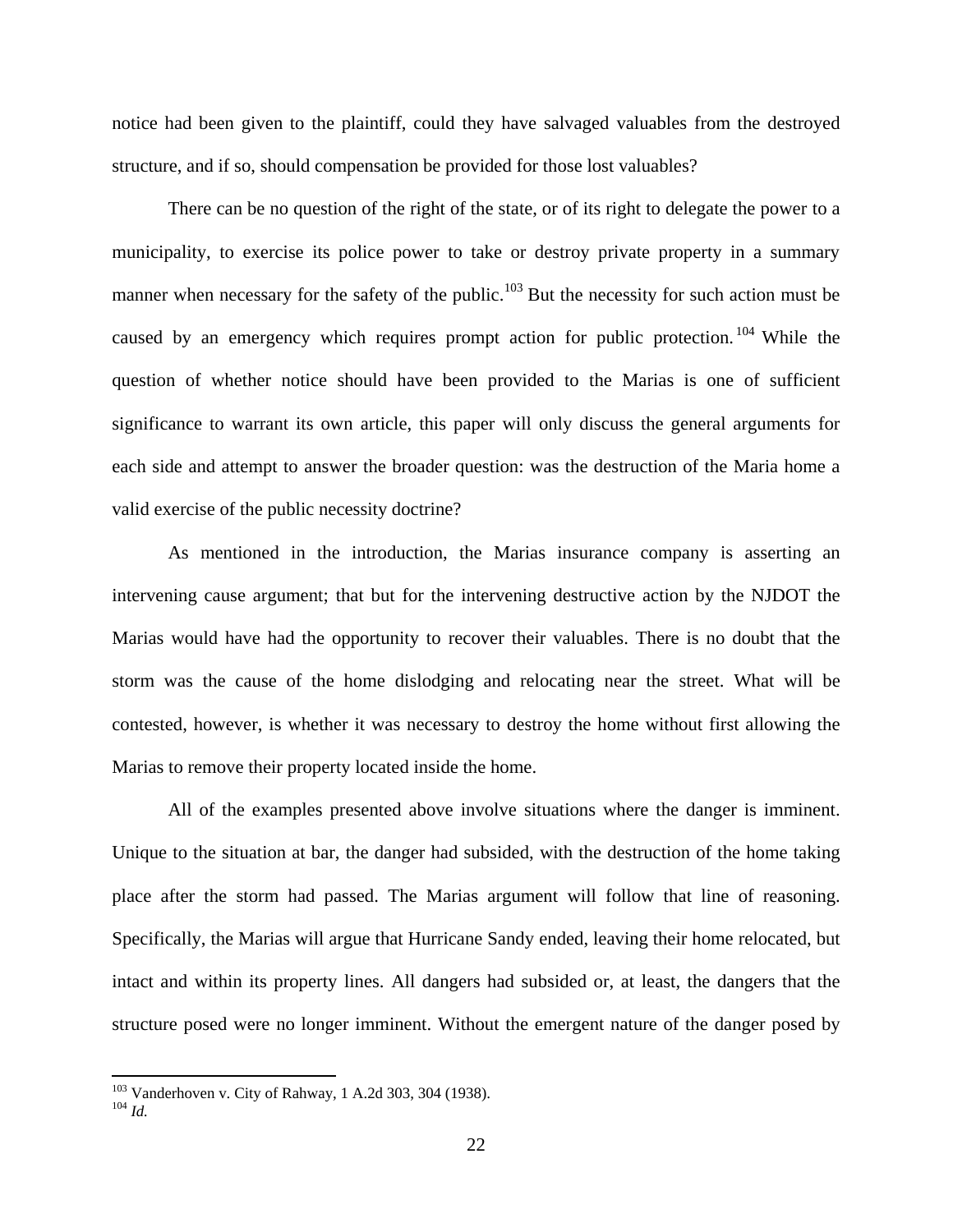notice had been given to the plaintiff, could they have salvaged valuables from the destroyed structure, and if so, should compensation be provided for those lost valuables?

There can be no question of the right of the state, or of its right to delegate the power to a municipality, to exercise its police power to take or destroy private property in a summary manner when necessary for the safety of the public.<sup>103</sup> But the necessity for such action must be caused by an emergency which requires prompt action for public protection.<sup>104</sup> While the question of whether notice should have been provided to the Marias is one of sufficient significance to warrant its own article, this paper will only discuss the general arguments for each side and attempt to answer the broader question: was the destruction of the Maria home a valid exercise of the public necessity doctrine?

As mentioned in the introduction, the Marias insurance company is asserting an intervening cause argument; that but for the intervening destructive action by the NJDOT the Marias would have had the opportunity to recover their valuables. There is no doubt that the storm was the cause of the home dislodging and relocating near the street. What will be contested, however, is whether it was necessary to destroy the home without first allowing the Marias to remove their property located inside the home.

All of the examples presented above involve situations where the danger is imminent. Unique to the situation at bar, the danger had subsided, with the destruction of the home taking place after the storm had passed. The Marias argument will follow that line of reasoning. Specifically, the Marias will argue that Hurricane Sandy ended, leaving their home relocated, but intact and within its property lines. All dangers had subsided or, at least, the dangers that the structure posed were no longer imminent. Without the emergent nature of the danger posed by

 $\overline{a}$ 

<sup>&</sup>lt;sup>103</sup> Vanderhoven v. City of Rahway, 1 A.2d 303, 304 (1938).

<sup>104</sup> *Id.*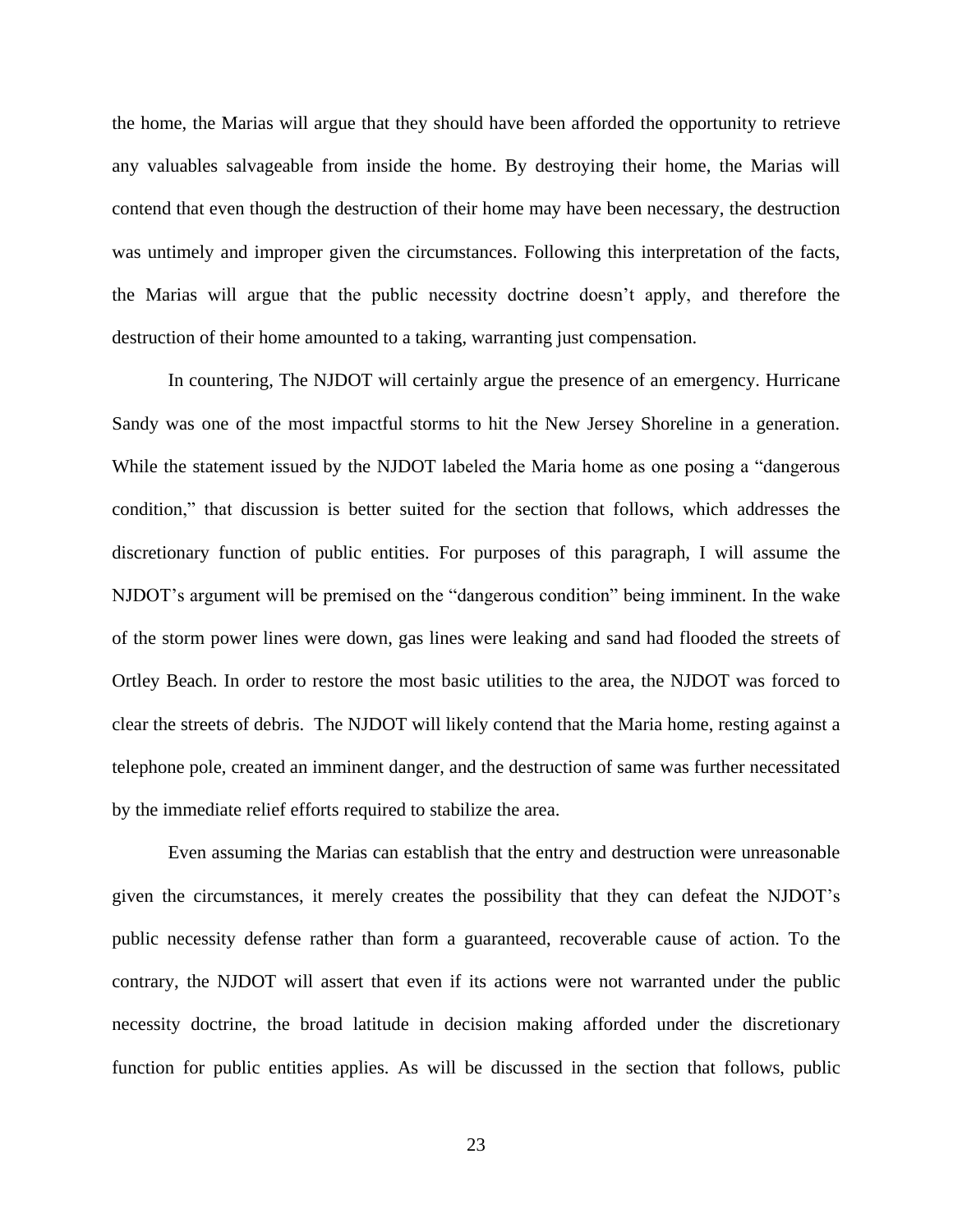the home, the Marias will argue that they should have been afforded the opportunity to retrieve any valuables salvageable from inside the home. By destroying their home, the Marias will contend that even though the destruction of their home may have been necessary, the destruction was untimely and improper given the circumstances. Following this interpretation of the facts, the Marias will argue that the public necessity doctrine doesn't apply, and therefore the destruction of their home amounted to a taking, warranting just compensation.

In countering, The NJDOT will certainly argue the presence of an emergency. Hurricane Sandy was one of the most impactful storms to hit the New Jersey Shoreline in a generation. While the statement issued by the NJDOT labeled the Maria home as one posing a "dangerous condition," that discussion is better suited for the section that follows, which addresses the discretionary function of public entities. For purposes of this paragraph, I will assume the NJDOT's argument will be premised on the "dangerous condition" being imminent. In the wake of the storm power lines were down, gas lines were leaking and sand had flooded the streets of Ortley Beach. In order to restore the most basic utilities to the area, the NJDOT was forced to clear the streets of debris. The NJDOT will likely contend that the Maria home, resting against a telephone pole, created an imminent danger, and the destruction of same was further necessitated by the immediate relief efforts required to stabilize the area.

Even assuming the Marias can establish that the entry and destruction were unreasonable given the circumstances, it merely creates the possibility that they can defeat the NJDOT's public necessity defense rather than form a guaranteed, recoverable cause of action. To the contrary, the NJDOT will assert that even if its actions were not warranted under the public necessity doctrine, the broad latitude in decision making afforded under the discretionary function for public entities applies. As will be discussed in the section that follows, public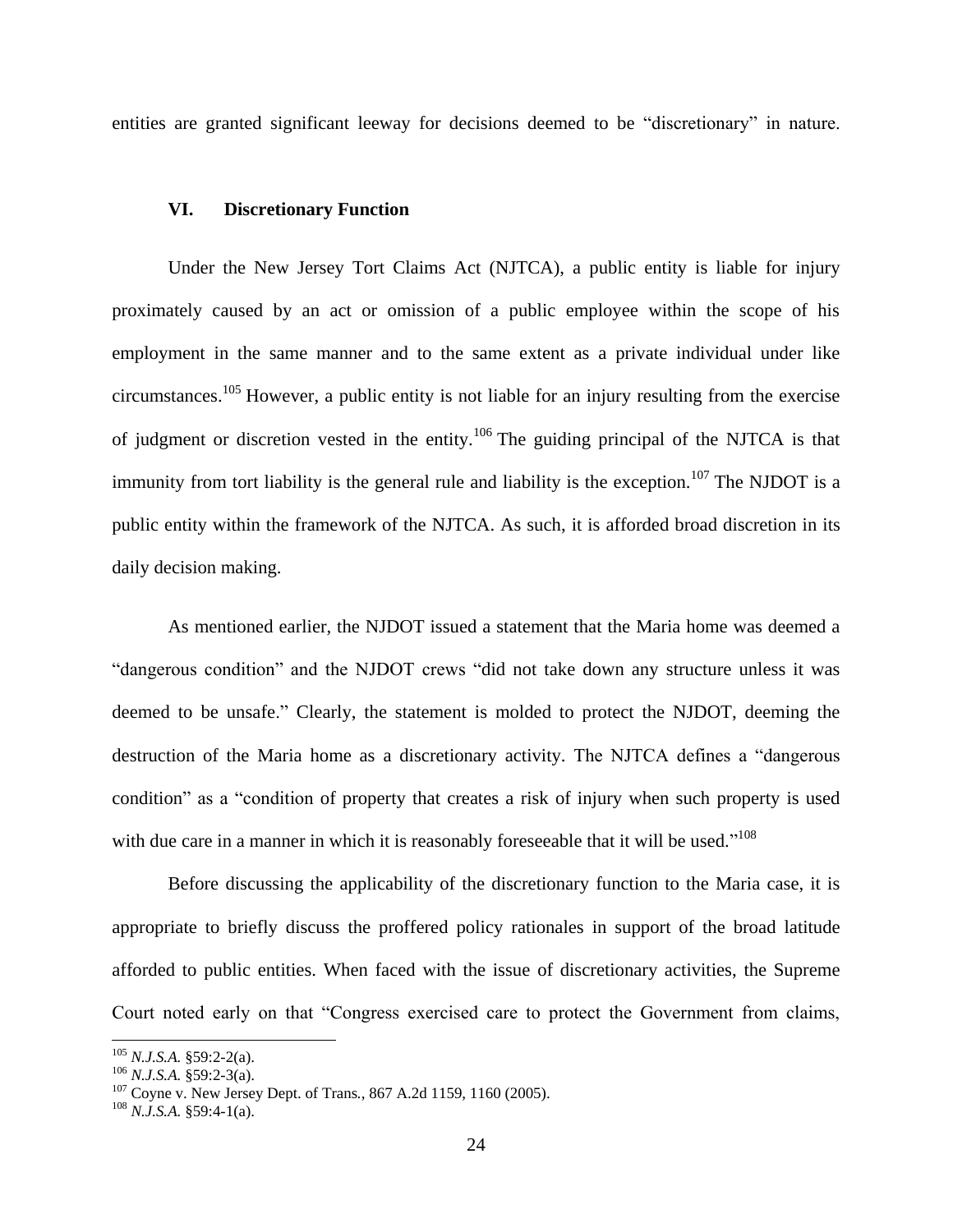entities are granted significant leeway for decisions deemed to be "discretionary" in nature.

# **VI. Discretionary Function**

Under the New Jersey Tort Claims Act (NJTCA), a public entity is liable for injury proximately caused by an act or omission of a public employee within the scope of his employment in the same manner and to the same extent as a private individual under like circumstances.<sup>105</sup> However, a public entity is not liable for an injury resulting from the exercise of judgment or discretion vested in the entity.<sup>106</sup> The guiding principal of the NJTCA is that immunity from tort liability is the general rule and liability is the exception.<sup>107</sup> The NJDOT is a public entity within the framework of the NJTCA. As such, it is afforded broad discretion in its daily decision making.

As mentioned earlier, the NJDOT issued a statement that the Maria home was deemed a "dangerous condition" and the NJDOT crews "did not take down any structure unless it was deemed to be unsafe." Clearly, the statement is molded to protect the NJDOT, deeming the destruction of the Maria home as a discretionary activity. The NJTCA defines a "dangerous condition" as a "condition of property that creates a risk of injury when such property is used with due care in a manner in which it is reasonably foreseeable that it will be used."<sup>108</sup>

Before discussing the applicability of the discretionary function to the Maria case, it is appropriate to briefly discuss the proffered policy rationales in support of the broad latitude afforded to public entities. When faced with the issue of discretionary activities, the Supreme Court noted early on that "Congress exercised care to protect the Government from claims,

<sup>105</sup> *N.J.S.A.* §59:2-2(a).

<sup>106</sup> *N.J.S.A.* §59:2-3(a).

<sup>107</sup> Coyne v. New Jersey Dept. of Trans*.*, 867 A.2d 1159, 1160 (2005).

<sup>108</sup> *N.J.S.A.* §59:4-1(a).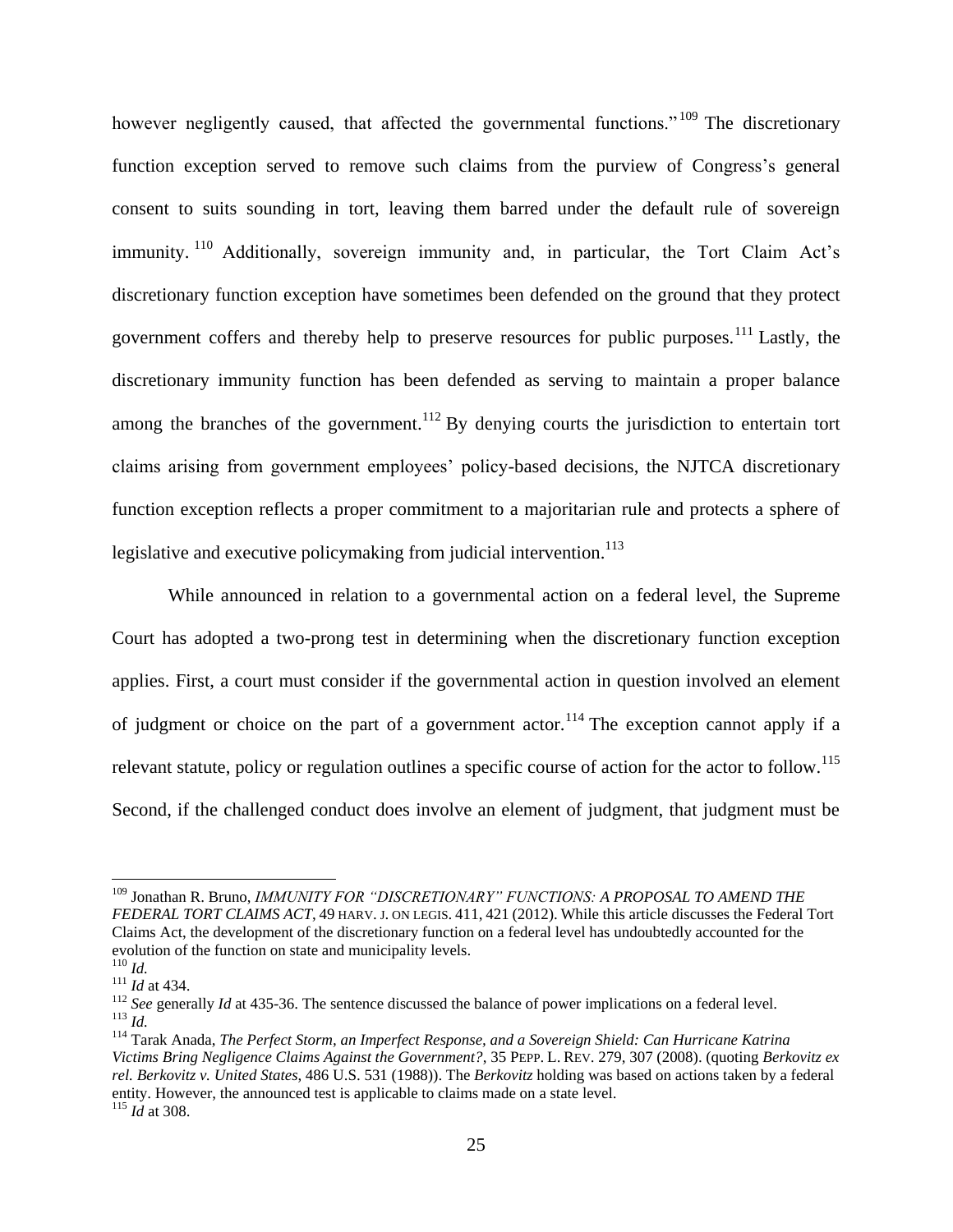however negligently caused, that affected the governmental functions."<sup>109</sup> The discretionary function exception served to remove such claims from the purview of Congress's general consent to suits sounding in tort, leaving them barred under the default rule of sovereign immunity. <sup>110</sup> Additionally, sovereign immunity and, in particular, the Tort Claim Act's discretionary function exception have sometimes been defended on the ground that they protect government coffers and thereby help to preserve resources for public purposes.<sup>111</sup> Lastly, the discretionary immunity function has been defended as serving to maintain a proper balance among the branches of the government.<sup>112</sup> By denying courts the jurisdiction to entertain tort claims arising from government employees' policy-based decisions, the NJTCA discretionary function exception reflects a proper commitment to a majoritarian rule and protects a sphere of legislative and executive policymaking from judicial intervention.<sup>113</sup>

While announced in relation to a governmental action on a federal level, the Supreme Court has adopted a two-prong test in determining when the discretionary function exception applies. First, a court must consider if the governmental action in question involved an element of judgment or choice on the part of a government actor.<sup>114</sup> The exception cannot apply if a relevant statute, policy or regulation outlines a specific course of action for the actor to follow.<sup>115</sup> Second, if the challenged conduct does involve an element of judgment, that judgment must be

<sup>109</sup> Jonathan R. Bruno, *IMMUNITY FOR "DISCRETIONARY" FUNCTIONS: A PROPOSAL TO AMEND THE FEDERAL TORT CLAIMS ACT*, 49 HARV. J. ON LEGIS. 411, 421 (2012). While this article discusses the Federal Tort Claims Act, the development of the discretionary function on a federal level has undoubtedly accounted for the evolution of the function on state and municipality levels.

<sup>110</sup> *Id.*

<sup>111</sup> *Id* at 434.

<sup>&</sup>lt;sup>112</sup> *See* generally *Id* at 435-36. The sentence discussed the balance of power implications on a federal level. <sup>113</sup> *Id.*

<sup>114</sup> Tarak Anada, *The Perfect Storm, an Imperfect Response, and a Sovereign Shield: Can Hurricane Katrina Victims Bring Negligence Claims Against the Government?*, 35 PEPP. L. REV. 279, 307 (2008). (quoting *Berkovitz ex rel. Berkovitz v. United States*, 486 U.S. 531 (1988)). The *Berkovitz* holding was based on actions taken by a federal entity. However, the announced test is applicable to claims made on a state level. <sup>115</sup> *Id* at 308.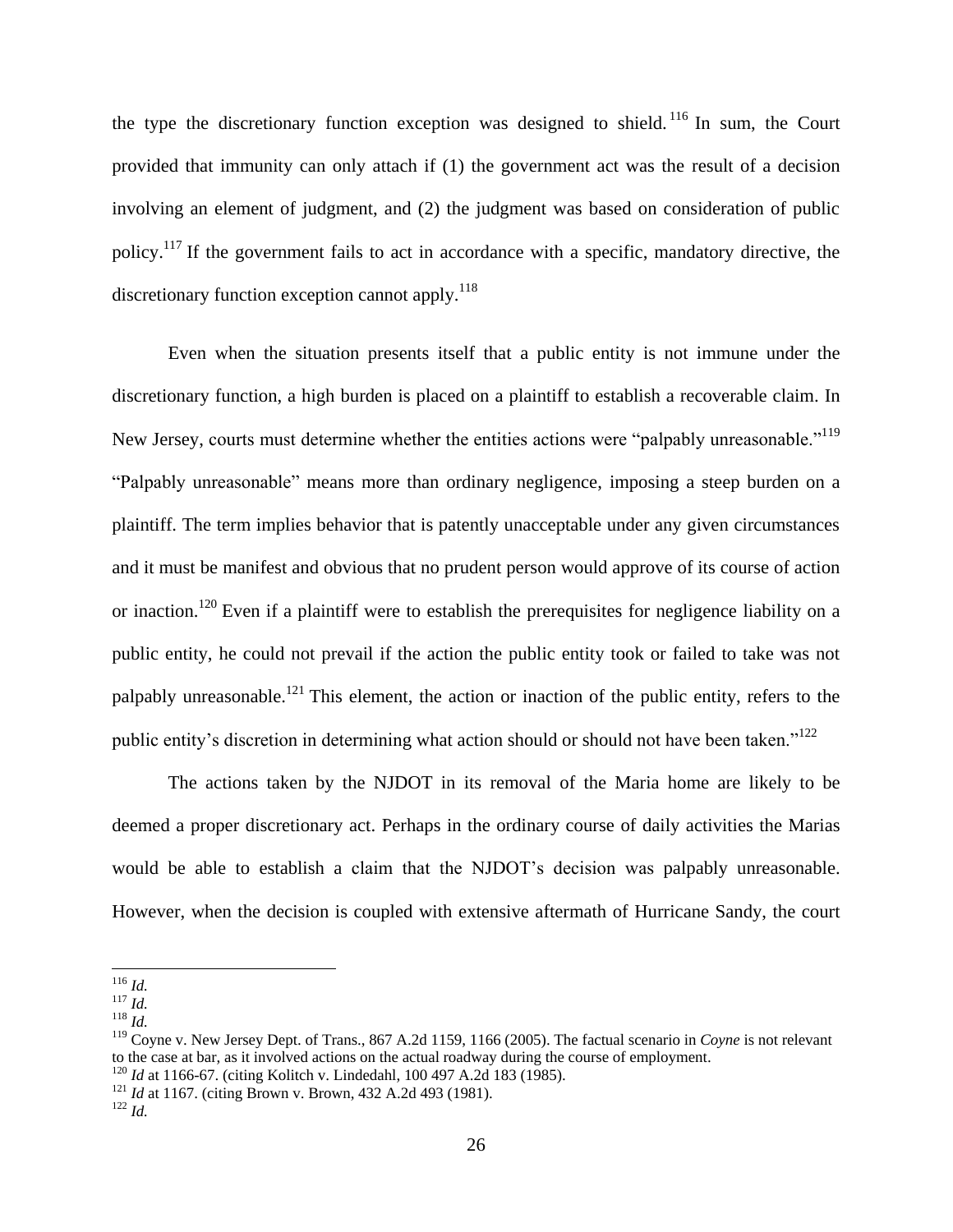the type the discretionary function exception was designed to shield.<sup>116</sup> In sum, the Court provided that immunity can only attach if (1) the government act was the result of a decision involving an element of judgment, and (2) the judgment was based on consideration of public policy.<sup>117</sup> If the government fails to act in accordance with a specific, mandatory directive, the discretionary function exception cannot apply. $118$ 

Even when the situation presents itself that a public entity is not immune under the discretionary function, a high burden is placed on a plaintiff to establish a recoverable claim. In New Jersey, courts must determine whether the entities actions were "palpably unreasonable."<sup>119</sup> "Palpably unreasonable" means more than ordinary negligence, imposing a steep burden on a plaintiff. The term implies behavior that is patently unacceptable under any given circumstances and it must be manifest and obvious that no prudent person would approve of its course of action or inaction.<sup>120</sup> Even if a plaintiff were to establish the prerequisites for negligence liability on a public entity, he could not prevail if the action the public entity took or failed to take was not palpably unreasonable.<sup>121</sup> This element, the action or inaction of the public entity, refers to the public entity's discretion in determining what action should or should not have been taken."<sup>122</sup>

The actions taken by the NJDOT in its removal of the Maria home are likely to be deemed a proper discretionary act. Perhaps in the ordinary course of daily activities the Marias would be able to establish a claim that the NJDOT's decision was palpably unreasonable. However, when the decision is coupled with extensive aftermath of Hurricane Sandy, the court

- <sup>120</sup> *Id* at 1166-67. (citing Kolitch v. Lindedahl, 100 497 A.2d 183 (1985).
- <sup>121</sup> *Id* at 1167. (citing Brown v. Brown, 432 A.2d 493 (1981).

 $\overline{a}$ <sup>116</sup> *Id.*

<sup>117</sup> *Id.*

<sup>118</sup> *Id.*

<sup>119</sup> Coyne v. New Jersey Dept. of Trans., 867 A.2d 1159, 1166 (2005). The factual scenario in *Coyne* is not relevant to the case at bar, as it involved actions on the actual roadway during the course of employment.

<sup>122</sup> *Id.*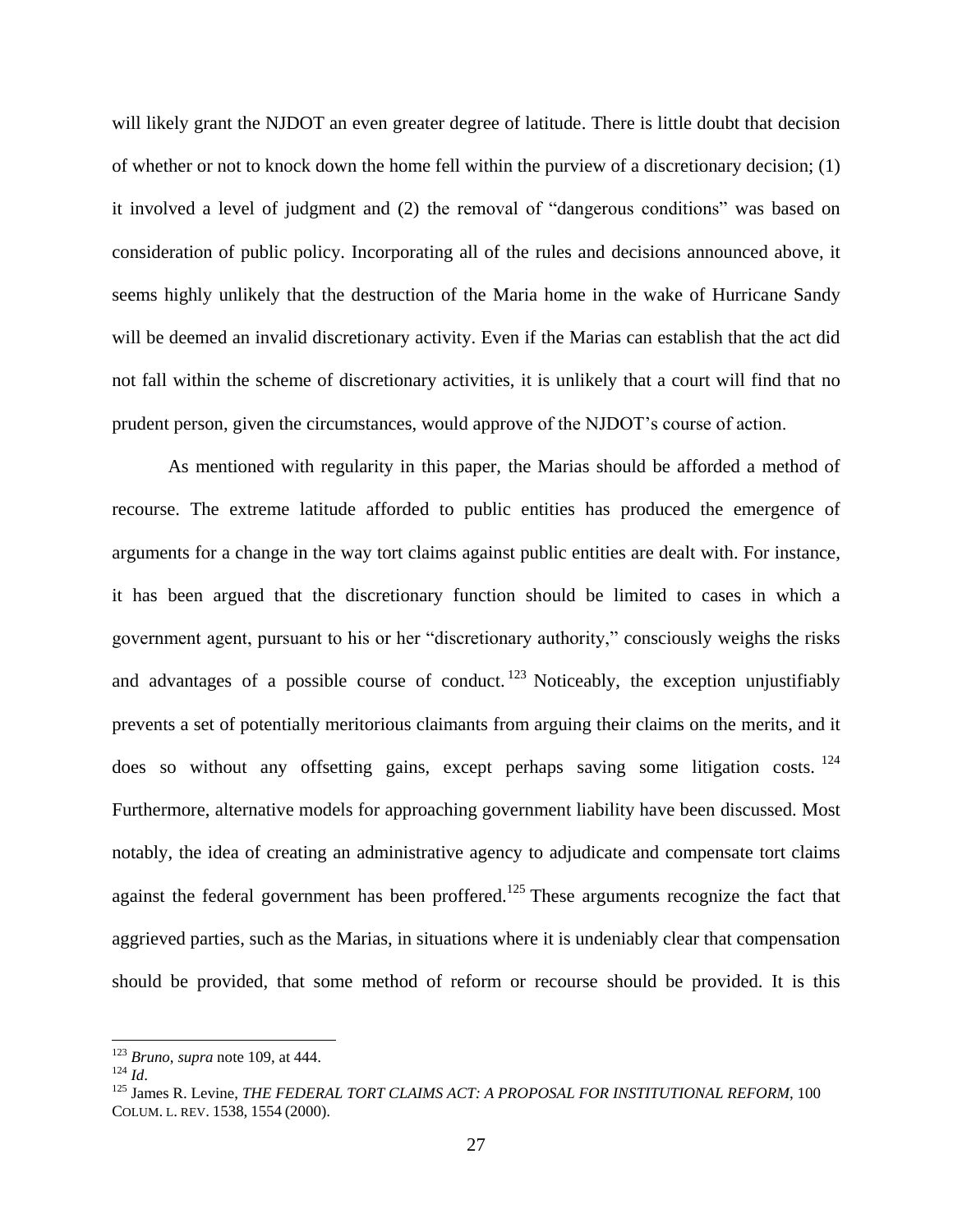will likely grant the NJDOT an even greater degree of latitude. There is little doubt that decision of whether or not to knock down the home fell within the purview of a discretionary decision; (1) it involved a level of judgment and (2) the removal of "dangerous conditions" was based on consideration of public policy. Incorporating all of the rules and decisions announced above, it seems highly unlikely that the destruction of the Maria home in the wake of Hurricane Sandy will be deemed an invalid discretionary activity. Even if the Marias can establish that the act did not fall within the scheme of discretionary activities, it is unlikely that a court will find that no prudent person, given the circumstances, would approve of the NJDOT's course of action.

As mentioned with regularity in this paper, the Marias should be afforded a method of recourse. The extreme latitude afforded to public entities has produced the emergence of arguments for a change in the way tort claims against public entities are dealt with. For instance, it has been argued that the discretionary function should be limited to cases in which a government agent, pursuant to his or her "discretionary authority," consciously weighs the risks and advantages of a possible course of conduct.<sup>123</sup> Noticeably, the exception unjustifiably prevents a set of potentially meritorious claimants from arguing their claims on the merits, and it does so without any offsetting gains, except perhaps saving some litigation costs.  $^{124}$ Furthermore, alternative models for approaching government liability have been discussed. Most notably, the idea of creating an administrative agency to adjudicate and compensate tort claims against the federal government has been proffered.<sup>125</sup> These arguments recognize the fact that aggrieved parties, such as the Marias, in situations where it is undeniably clear that compensation should be provided, that some method of reform or recourse should be provided. It is this

<sup>123</sup> *Bruno*, *supra* note 109, at 444.

<sup>124</sup> *Id*.

<sup>&</sup>lt;sup>125</sup> James R. Levine, *THE FEDERAL TORT CLAIMS ACT: A PROPOSAL FOR INSTITUTIONAL REFORM*, 100 COLUM. L. REV. 1538, 1554 (2000).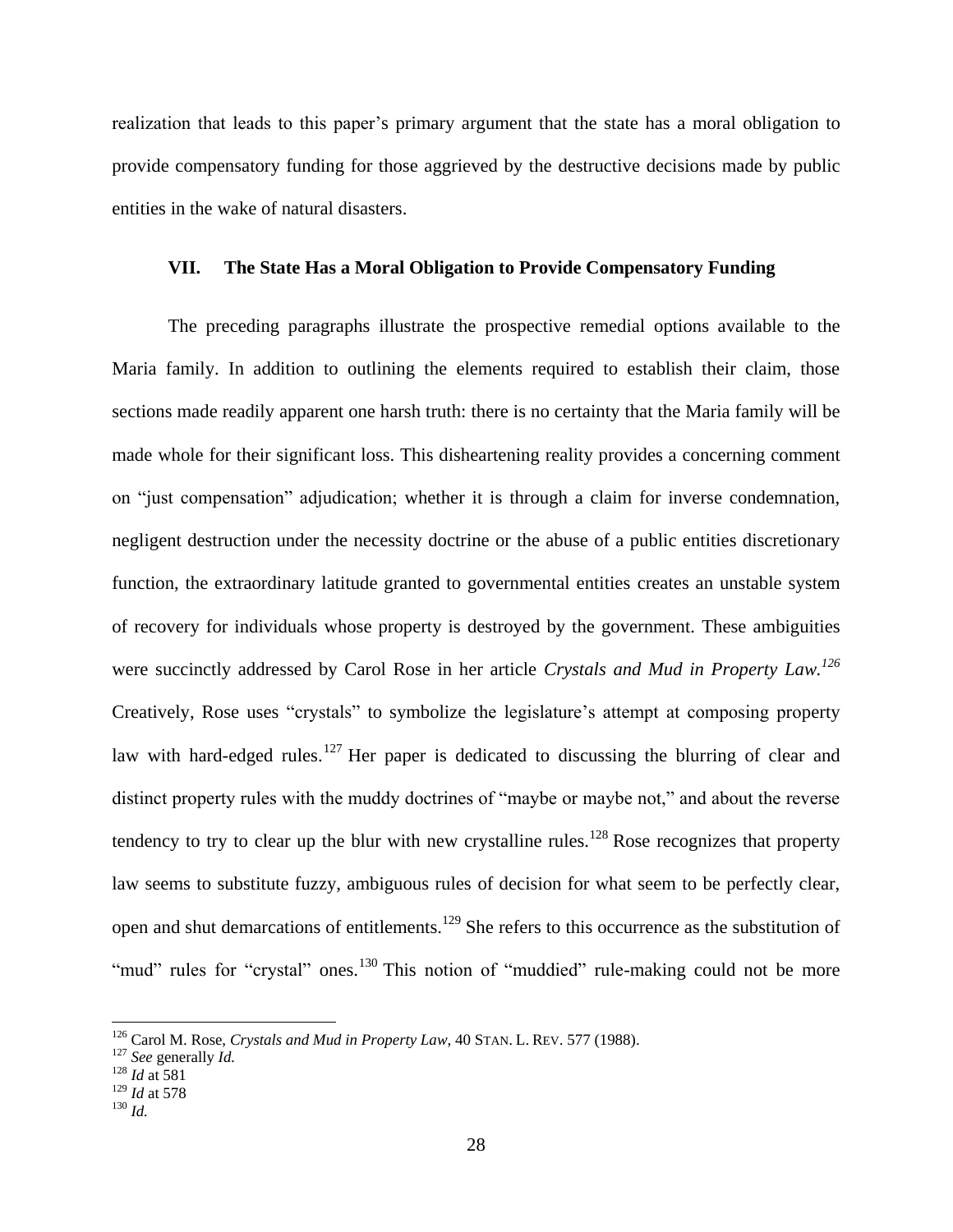realization that leads to this paper's primary argument that the state has a moral obligation to provide compensatory funding for those aggrieved by the destructive decisions made by public entities in the wake of natural disasters.

# **VII. The State Has a Moral Obligation to Provide Compensatory Funding**

The preceding paragraphs illustrate the prospective remedial options available to the Maria family. In addition to outlining the elements required to establish their claim, those sections made readily apparent one harsh truth: there is no certainty that the Maria family will be made whole for their significant loss. This disheartening reality provides a concerning comment on "just compensation" adjudication; whether it is through a claim for inverse condemnation, negligent destruction under the necessity doctrine or the abuse of a public entities discretionary function, the extraordinary latitude granted to governmental entities creates an unstable system of recovery for individuals whose property is destroyed by the government. These ambiguities were succinctly addressed by Carol Rose in her article *Crystals and Mud in Property Law.<sup>126</sup>* Creatively, Rose uses "crystals" to symbolize the legislature's attempt at composing property law with hard-edged rules.<sup>127</sup> Her paper is dedicated to discussing the blurring of clear and distinct property rules with the muddy doctrines of "maybe or maybe not," and about the reverse tendency to try to clear up the blur with new crystalline rules.<sup>128</sup> Rose recognizes that property law seems to substitute fuzzy, ambiguous rules of decision for what seem to be perfectly clear, open and shut demarcations of entitlements.<sup>129</sup> She refers to this occurrence as the substitution of "mud" rules for "crystal" ones.<sup>130</sup> This notion of "muddied" rule-making could not be more

 $\overline{a}$ 

<sup>126</sup> Carol M. Rose, *Crystals and Mud in Property Law*, 40 STAN. L. REV. 577 (1988).

<sup>127</sup> *See* generally *Id.*

 $^{128}$  *Id* at 581

<sup>129</sup> *Id* at 578

<sup>130</sup> *Id.*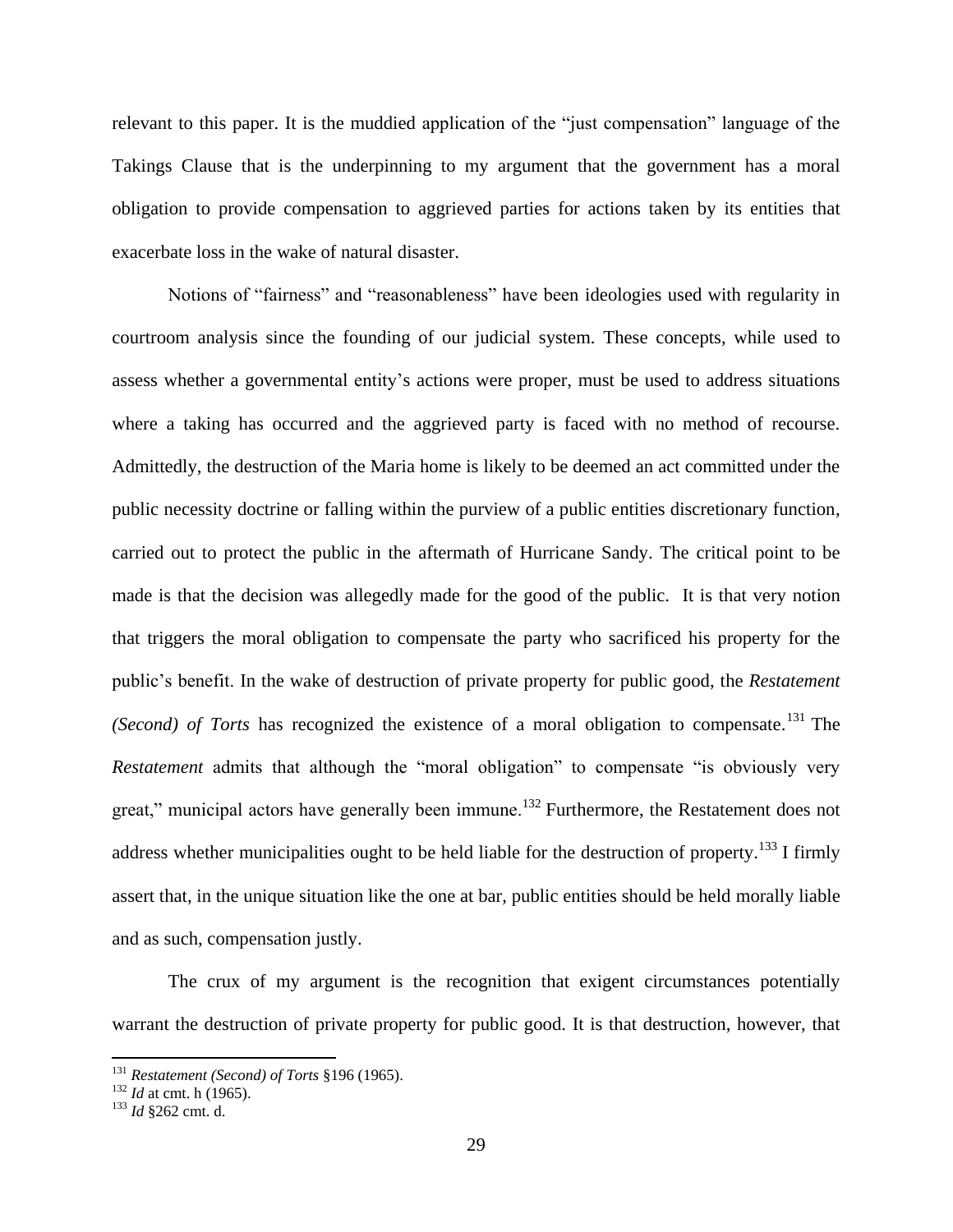relevant to this paper. It is the muddied application of the "just compensation" language of the Takings Clause that is the underpinning to my argument that the government has a moral obligation to provide compensation to aggrieved parties for actions taken by its entities that exacerbate loss in the wake of natural disaster.

Notions of "fairness" and "reasonableness" have been ideologies used with regularity in courtroom analysis since the founding of our judicial system. These concepts, while used to assess whether a governmental entity's actions were proper, must be used to address situations where a taking has occurred and the aggrieved party is faced with no method of recourse. Admittedly, the destruction of the Maria home is likely to be deemed an act committed under the public necessity doctrine or falling within the purview of a public entities discretionary function, carried out to protect the public in the aftermath of Hurricane Sandy. The critical point to be made is that the decision was allegedly made for the good of the public. It is that very notion that triggers the moral obligation to compensate the party who sacrificed his property for the public's benefit. In the wake of destruction of private property for public good, the *Restatement (Second) of Torts* has recognized the existence of a moral obligation to compensate. <sup>131</sup> The *Restatement* admits that although the "moral obligation" to compensate "is obviously very great," municipal actors have generally been immune.<sup>132</sup> Furthermore, the Restatement does not address whether municipalities ought to be held liable for the destruction of property.<sup>133</sup> I firmly assert that, in the unique situation like the one at bar, public entities should be held morally liable and as such, compensation justly.

The crux of my argument is the recognition that exigent circumstances potentially warrant the destruction of private property for public good. It is that destruction, however, that

<sup>131</sup> *Restatement (Second) of Torts* §196 (1965).

<sup>132</sup> *Id* at cmt. h (1965).

<sup>133</sup> *Id* §262 cmt. d.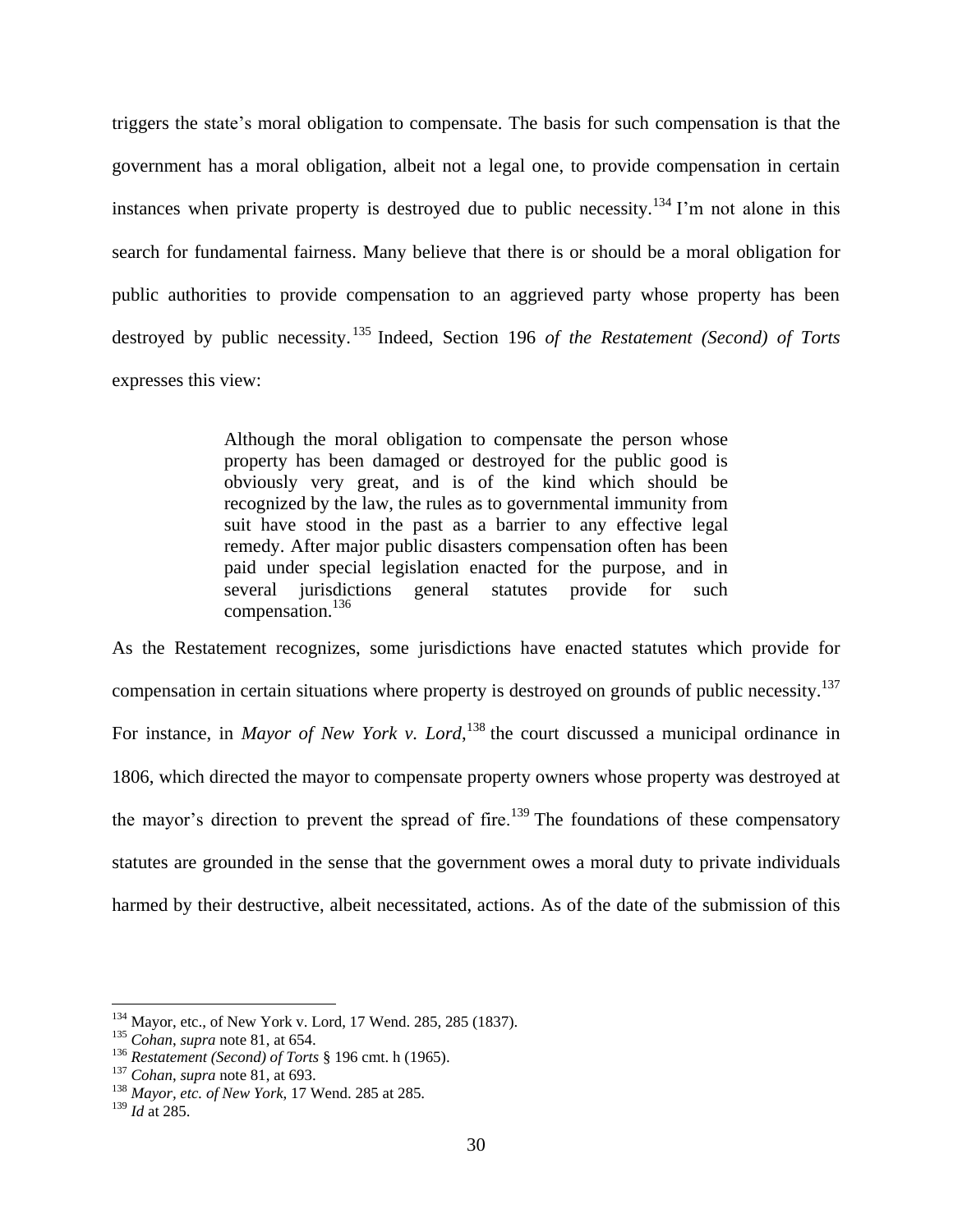triggers the state's moral obligation to compensate. The basis for such compensation is that the government has a moral obligation, albeit not a legal one, to provide compensation in certain instances when private property is destroyed due to public necessity.<sup>134</sup> I'm not alone in this search for fundamental fairness. Many believe that there is or should be a moral obligation for public authorities to provide compensation to an aggrieved party whose property has been destroyed by public necessity. <sup>135</sup> Indeed, Section 196 *of the Restatement (Second) of Torts* expresses this view:

> Although the moral obligation to compensate the person whose property has been damaged or destroyed for the public good is obviously very great, and is of the kind which should be recognized by the law, the rules as to governmental immunity from suit have stood in the past as a barrier to any effective legal remedy. After major public disasters compensation often has been paid under special legislation enacted for the purpose, and in several jurisdictions general statutes provide for such compensation.<sup>136</sup>

As the Restatement recognizes, some jurisdictions have enacted statutes which provide for compensation in certain situations where property is destroyed on grounds of public necessity.<sup>137</sup> For instance, in *Mayor of New York v. Lord*, <sup>138</sup> the court discussed a municipal ordinance in 1806, which directed the mayor to compensate property owners whose property was destroyed at the mayor's direction to prevent the spread of fire.<sup>139</sup> The foundations of these compensatory statutes are grounded in the sense that the government owes a moral duty to private individuals harmed by their destructive, albeit necessitated, actions. As of the date of the submission of this

<sup>&</sup>lt;sup>134</sup> Mayor, etc., of New York v. Lord, 17 Wend. 285, 285 (1837).

<sup>135</sup> *Cohan*, *supra* note 81, at 654.

<sup>136</sup> *Restatement (Second) of Torts* § 196 cmt. h (1965).

<sup>137</sup> *Cohan*, *supra* note 81, at 693.

<sup>138</sup> *Mayor, etc. of New York*, 17 Wend. 285 at 285.

<sup>139</sup> *Id* at 285.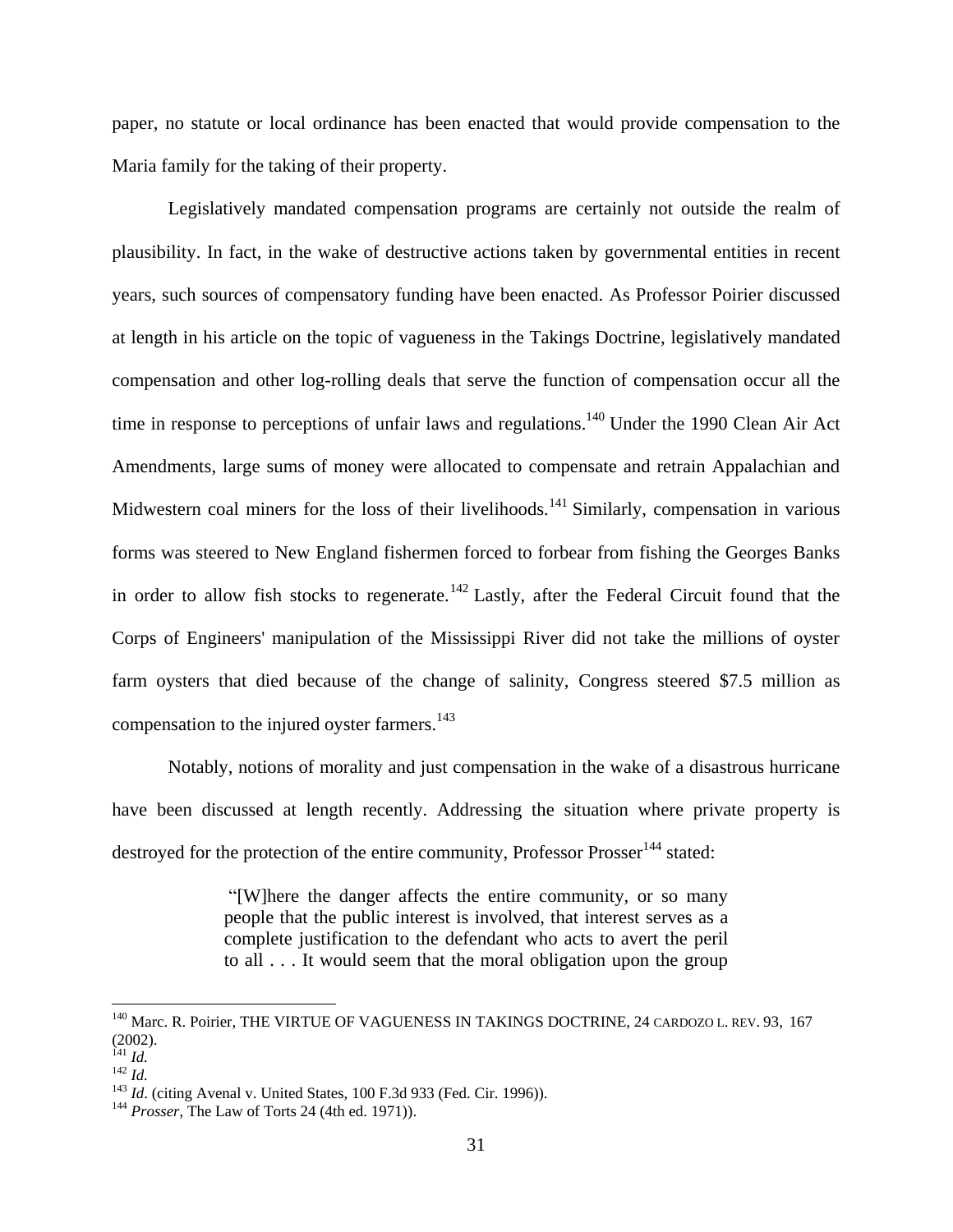paper, no statute or local ordinance has been enacted that would provide compensation to the Maria family for the taking of their property.

Legislatively mandated compensation programs are certainly not outside the realm of plausibility. In fact, in the wake of destructive actions taken by governmental entities in recent years, such sources of compensatory funding have been enacted. As Professor Poirier discussed at length in his article on the topic of vagueness in the Takings Doctrine, legislatively mandated compensation and other log-rolling deals that serve the function of compensation occur all the time in response to perceptions of unfair laws and regulations.<sup>140</sup> Under the 1990 Clean Air Act Amendments, large sums of money were allocated to compensate and retrain Appalachian and Midwestern coal miners for the loss of their livelihoods.<sup>141</sup> Similarly, compensation in various forms was steered to New England fishermen forced to forbear from fishing the Georges Banks in order to allow fish stocks to regenerate.<sup>142</sup> Lastly, after the Federal Circuit found that the Corps of Engineers' manipulation of the Mississippi River did not take the millions of oyster farm oysters that died because of the change of salinity, Congress steered \$7.5 million as compensation to the injured oyster farmers.<sup>143</sup>

Notably, notions of morality and just compensation in the wake of a disastrous hurricane have been discussed at length recently. Addressing the situation where private property is destroyed for the protection of the entire community, Professor Prosser<sup>144</sup> stated:

> "[W]here the danger affects the entire community, or so many people that the public interest is involved, that interest serves as a complete justification to the defendant who acts to avert the peril to all . . . It would seem that the moral obligation upon the group

<sup>&</sup>lt;sup>140</sup> Marc. R. Poirier, THE VIRTUE OF VAGUENESS IN TAKINGS DOCTRINE, 24 CARDOZO L. REV. 93, 167 (2002).

<sup>141</sup> *Id.*

 $\int_{142}^{142}$  *Id.* 

<sup>&</sup>lt;sup>143</sup> *Id.* (citing Avenal v. United States, 100 F.3d 933 (Fed. Cir. 1996)).

<sup>144</sup> *Prosser*, The Law of Torts 24 (4th ed. 1971)).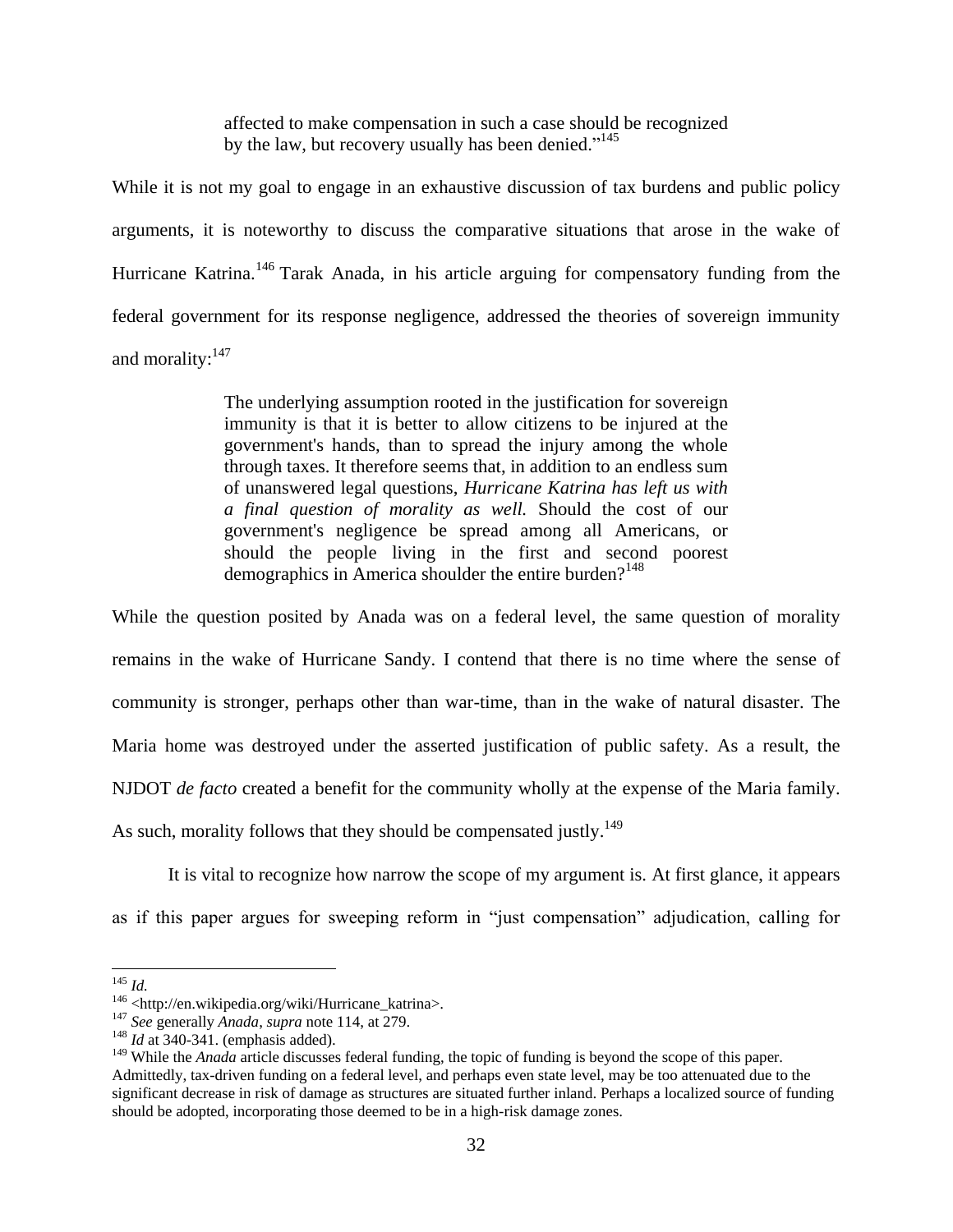affected to make compensation in such a case should be recognized by the law, but recovery usually has been denied."<sup>145</sup>

While it is not my goal to engage in an exhaustive discussion of tax burdens and public policy arguments, it is noteworthy to discuss the comparative situations that arose in the wake of Hurricane Katrina.<sup>146</sup> Tarak Anada, in his article arguing for compensatory funding from the federal government for its response negligence, addressed the theories of sovereign immunity and morality:<sup>147</sup>

> The underlying assumption rooted in the justification for sovereign immunity is that it is better to allow citizens to be injured at the government's hands, than to spread the injury among the whole through taxes. It therefore seems that, in addition to an endless sum of unanswered legal questions, *Hurricane Katrina has left us with a final question of morality as well.* Should the cost of our government's negligence be spread among all Americans, or should the people living in the first and second poorest demographics in America shoulder the entire burden?<sup>148</sup>

While the question posited by Anada was on a federal level, the same question of morality remains in the wake of Hurricane Sandy. I contend that there is no time where the sense of community is stronger, perhaps other than war-time, than in the wake of natural disaster. The Maria home was destroyed under the asserted justification of public safety. As a result, the NJDOT *de facto* created a benefit for the community wholly at the expense of the Maria family. As such, morality follows that they should be compensated justly.<sup>149</sup>

It is vital to recognize how narrow the scope of my argument is. At first glance, it appears as if this paper argues for sweeping reform in "just compensation" adjudication, calling for

 $\overline{a}$ 

<sup>145</sup> *Id.*

<sup>146 &</sup>lt;http://en.wikipedia.org/wiki/Hurricane\_katrina>.

<sup>147</sup> *See* generally *Anada*, *supra* note 114, at 279.

<sup>&</sup>lt;sup>148</sup> *Id* at 340-341. (emphasis added).

<sup>&</sup>lt;sup>149</sup> While the *Anada* article discusses federal funding, the topic of funding is beyond the scope of this paper. Admittedly, tax-driven funding on a federal level, and perhaps even state level, may be too attenuated due to the significant decrease in risk of damage as structures are situated further inland. Perhaps a localized source of funding should be adopted, incorporating those deemed to be in a high-risk damage zones.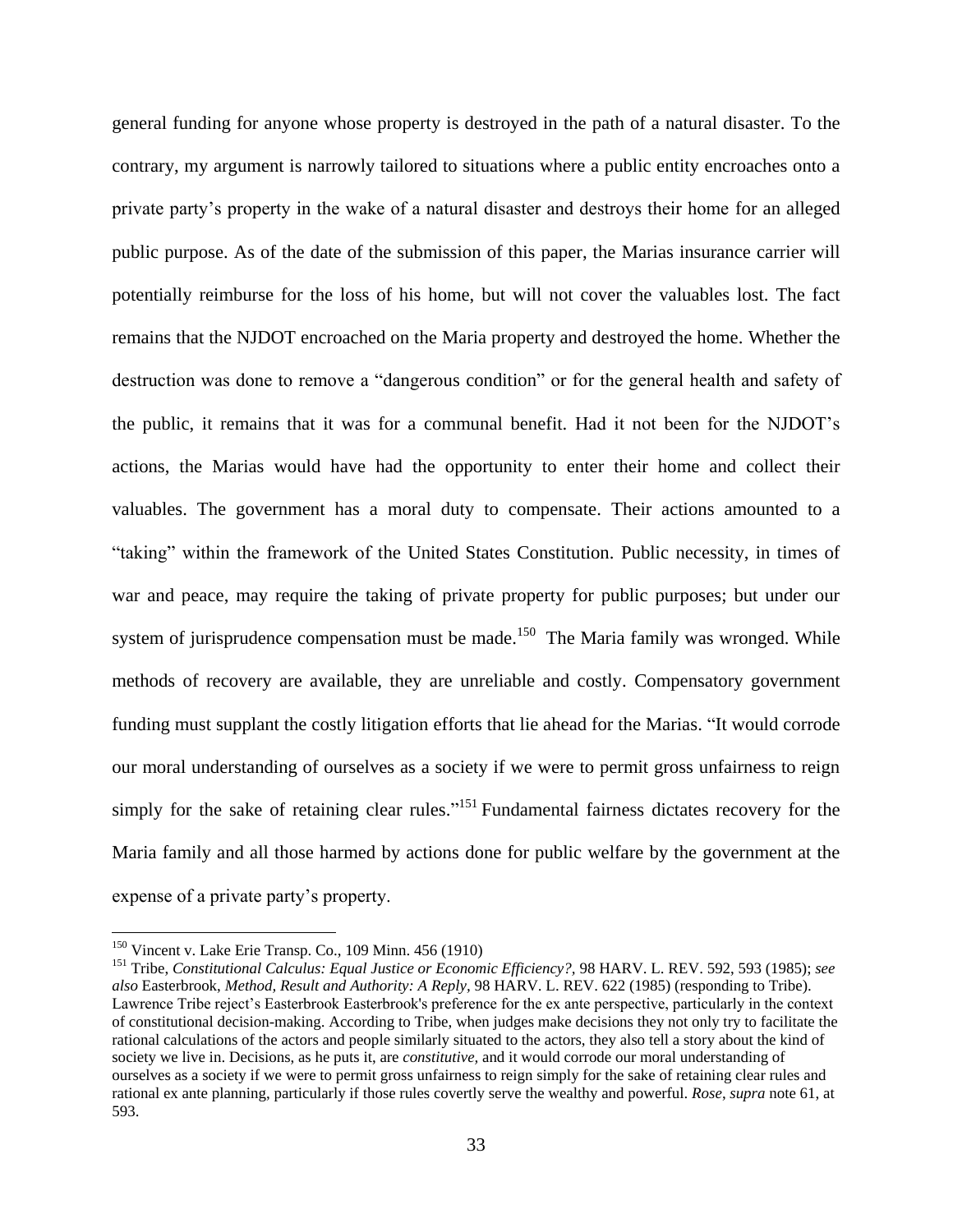general funding for anyone whose property is destroyed in the path of a natural disaster. To the contrary, my argument is narrowly tailored to situations where a public entity encroaches onto a private party's property in the wake of a natural disaster and destroys their home for an alleged public purpose. As of the date of the submission of this paper, the Marias insurance carrier will potentially reimburse for the loss of his home, but will not cover the valuables lost. The fact remains that the NJDOT encroached on the Maria property and destroyed the home. Whether the destruction was done to remove a "dangerous condition" or for the general health and safety of the public, it remains that it was for a communal benefit. Had it not been for the NJDOT's actions, the Marias would have had the opportunity to enter their home and collect their valuables. The government has a moral duty to compensate. Their actions amounted to a "taking" within the framework of the United States Constitution. Public necessity, in times of war and peace, may require the taking of private property for public purposes; but under our system of jurisprudence compensation must be made.<sup>150</sup> The Maria family was wronged. While methods of recovery are available, they are unreliable and costly. Compensatory government funding must supplant the costly litigation efforts that lie ahead for the Marias. "It would corrode our moral understanding of ourselves as a society if we were to permit gross unfairness to reign simply for the sake of retaining clear rules."<sup>151</sup> Fundamental fairness dictates recovery for the Maria family and all those harmed by actions done for public welfare by the government at the expense of a private party's property.

<sup>150</sup> Vincent v. Lake Erie Transp. Co., 109 Minn. 456 (1910)

<sup>151</sup> Tribe, *Constitutional Calculus: Equal Justice or Economic Efficiency?,* 98 HARV. L. REV. 592, 593 (1985); *see also* Easterbrook, *Method, Result and Authority: A Reply,* 98 HARV. L. REV. 622 (1985) (responding to Tribe). Lawrence Tribe reject's Easterbrook Easterbrook's preference for the ex ante perspective, particularly in the context of constitutional decision-making. According to Tribe, when judges make decisions they not only try to facilitate the rational calculations of the actors and people similarly situated to the actors, they also tell a story about the kind of society we live in. Decisions, as he puts it, are *constitutive,* and it would corrode our moral understanding of ourselves as a society if we were to permit gross unfairness to reign simply for the sake of retaining clear rules and rational ex ante planning, particularly if those rules covertly serve the wealthy and powerful. *Rose*, *supra* note 61, at 593.